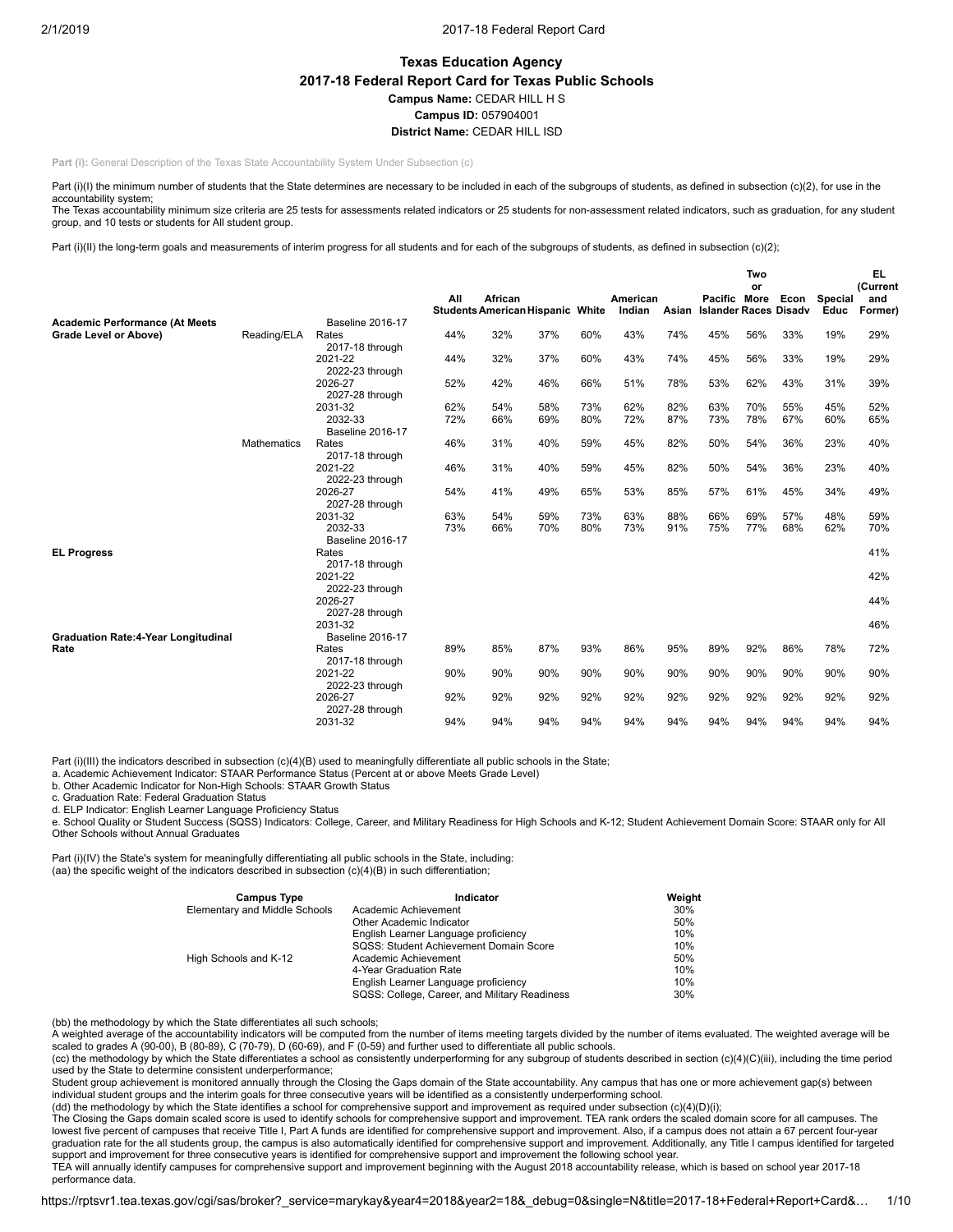# **Texas Education Agency 2017-18 Federal Report Card for Texas Public Schools Campus Name:** CEDAR HILL H S **Campus ID:** 057904001 **District Name:** CEDAR HILL ISD

**Part (i): General Description of the Texas State Accountability System Under Subsection (c)** 

Part (i)(I) the minimum number of students that the State determines are necessary to be included in each of the subgroups of students, as defined in subsection (c)(2), for use in the accountability system:

The Texas accountability minimum size criteria are 25 tests for assessments related indicators or 25 students for non-assessment related indicators, such as graduation, for any student group, and 10 tests or students for All student group.

Part (i)(II) the long-term goals and measurements of interim progress for all students and for each of the subgroups of students, as defined in subsection (c)(2);

|                                                    |                    |                                    |     |                                                           |     |     |                    |       |                                              | Two<br>or |      |                        | <b>EL</b><br>(Current |
|----------------------------------------------------|--------------------|------------------------------------|-----|-----------------------------------------------------------|-----|-----|--------------------|-------|----------------------------------------------|-----------|------|------------------------|-----------------------|
|                                                    |                    |                                    | All | <b>African</b><br><b>Students American Hispanic White</b> |     |     | American<br>Indian | Asian | Pacific More<br><b>Islander Races Disadv</b> |           | Econ | <b>Special</b><br>Educ | and<br>Former)        |
| <b>Academic Performance (At Meets</b>              |                    | <b>Baseline 2016-17</b>            |     |                                                           |     |     |                    |       |                                              |           |      |                        |                       |
| Grade Level or Above)                              | Reading/ELA        | Rates<br>2017-18 through           | 44% | 32%                                                       | 37% | 60% | 43%                | 74%   | 45%                                          | 56%       | 33%  | 19%                    | 29%                   |
|                                                    |                    | 2021-22<br>2022-23 through         | 44% | 32%                                                       | 37% | 60% | 43%                | 74%   | 45%                                          | 56%       | 33%  | 19%                    | 29%                   |
|                                                    |                    | 2026-27<br>2027-28 through         | 52% | 42%                                                       | 46% | 66% | 51%                | 78%   | 53%                                          | 62%       | 43%  | 31%                    | 39%                   |
|                                                    |                    | 2031-32                            | 62% | 54%                                                       | 58% | 73% | 62%                | 82%   | 63%                                          | 70%       | 55%  | 45%                    | 52%                   |
|                                                    |                    | 2032-33<br><b>Baseline 2016-17</b> | 72% | 66%                                                       | 69% | 80% | 72%                | 87%   | 73%                                          | 78%       | 67%  | 60%                    | 65%                   |
|                                                    | <b>Mathematics</b> | Rates<br>2017-18 through           | 46% | 31%                                                       | 40% | 59% | 45%                | 82%   | 50%                                          | 54%       | 36%  | 23%                    | 40%                   |
|                                                    |                    | 2021-22<br>2022-23 through         | 46% | 31%                                                       | 40% | 59% | 45%                | 82%   | 50%                                          | 54%       | 36%  | 23%                    | 40%                   |
|                                                    |                    | 2026-27<br>2027-28 through         | 54% | 41%                                                       | 49% | 65% | 53%                | 85%   | 57%                                          | 61%       | 45%  | 34%                    | 49%                   |
|                                                    |                    | 2031-32                            | 63% | 54%                                                       | 59% | 73% | 63%                | 88%   | 66%                                          | 69%       | 57%  | 48%                    | 59%                   |
|                                                    |                    | 2032-33<br><b>Baseline 2016-17</b> | 73% | 66%                                                       | 70% | 80% | 73%                | 91%   | 75%                                          | 77%       | 68%  | 62%                    | 70%                   |
| <b>EL Progress</b>                                 |                    | Rates<br>2017-18 through           |     |                                                           |     |     |                    |       |                                              |           |      |                        | 41%                   |
|                                                    |                    | 2021-22<br>2022-23 through         |     |                                                           |     |     |                    |       |                                              |           |      |                        | 42%                   |
|                                                    |                    | 2026-27<br>2027-28 through         |     |                                                           |     |     |                    |       |                                              |           |      |                        | 44%                   |
|                                                    |                    | 2031-32<br><b>Baseline 2016-17</b> |     |                                                           |     |     |                    |       |                                              |           |      |                        | 46%                   |
| <b>Graduation Rate:4-Year Longitudinal</b><br>Rate |                    | Rates<br>2017-18 through           | 89% | 85%                                                       | 87% | 93% | 86%                | 95%   | 89%                                          | 92%       | 86%  | 78%                    | 72%                   |
|                                                    |                    | 2021-22<br>2022-23 through         | 90% | 90%                                                       | 90% | 90% | 90%                | 90%   | 90%                                          | 90%       | 90%  | 90%                    | 90%                   |
|                                                    |                    | 2026-27<br>2027-28 through         | 92% | 92%                                                       | 92% | 92% | 92%                | 92%   | 92%                                          | 92%       | 92%  | 92%                    | 92%                   |
|                                                    |                    | 2031-32                            | 94% | 94%                                                       | 94% | 94% | 94%                | 94%   | 94%                                          | 94%       | 94%  | 94%                    | 94%                   |

Part (i)(III) the indicators described in subsection (c)(4)(B) used to meaningfully differentiate all public schools in the State;

a. Academic Achievement Indicator: STAAR Performance Status (Percent at or above Meets Grade Level)

b. Other Academic Indicator for Non-High Schools: STAAR Growth Status

c. Graduation Rate: Federal Graduation Status

d. ELP Indicator: English Learner Language Proficiency Status

e. School Quality or Student Success (SQSS) Indicators: College, Career, and Military Readiness for High Schools and K-12; Student Achievement Domain Score: STAAR only for All Other Schools without Annual Graduates

Part (i)(IV) the State's system for meaningfully differentiating all public schools in the State, including: (aa) the specific weight of the indicators described in subsection (c)(4)(B) in such differentiation;

| <b>Campus Type</b>            | Indicator                                     | Weight |
|-------------------------------|-----------------------------------------------|--------|
| Elementary and Middle Schools | Academic Achievement                          | 30%    |
|                               | Other Academic Indicator                      | 50%    |
|                               | English Learner Language proficiency          | 10%    |
|                               | SQSS: Student Achievement Domain Score        | 10%    |
| High Schools and K-12         | Academic Achievement                          | 50%    |
|                               | 4-Year Graduation Rate                        | 10%    |
|                               | English Learner Language proficiency          | 10%    |
|                               | SQSS: College, Career, and Military Readiness | 30%    |

(bb) the methodology by which the State differentiates all such schools;

A weighted average of the accountability indicators will be computed from the number of items meeting targets divided by the number of items evaluated. The weighted average will be scaled to grades A (90-00), B (80-89), C (70-79), D (60-69), and F (0-59) and further used to differentiate all public schools.

(cc) the methodology by which the State differentiates a school as consistently underperforming for any subgroup of students described in section (c)(4)(C)(iii), including the time period used by the State to determine consistent underperformance;

Student group achievement is monitored annually through the Closing the Gaps domain of the State accountability. Any campus that has one or more achievement gap(s) between individual student groups and the interim goals for three consecutive years will be identified as a consistently underperforming school.<br>(dd) the methodology by which the State identifies a school for comprehensive support

The Closing the Gaps domain scaled score is used to identify schools for comprehensive support and improvement. TEA rank orders the scaled domain score for all campuses. The lowest five percent of campuses that receive Title I, Part A funds are identified for comprehensive support and improvement. Also, if a campus does not attain a 67 percent four-year graduation rate for the all students group, the campus is also automatically identified for comprehensive support and improvement. Additionally, any Title I campus identified for targeted support and improvement for three consecutive years is identified for comprehensive support and improvement the following school year. TEA will annually identify campuses for comprehensive support and improvement beginning with the August 2018 accountability release, which is based on school year 2017-18

performance data.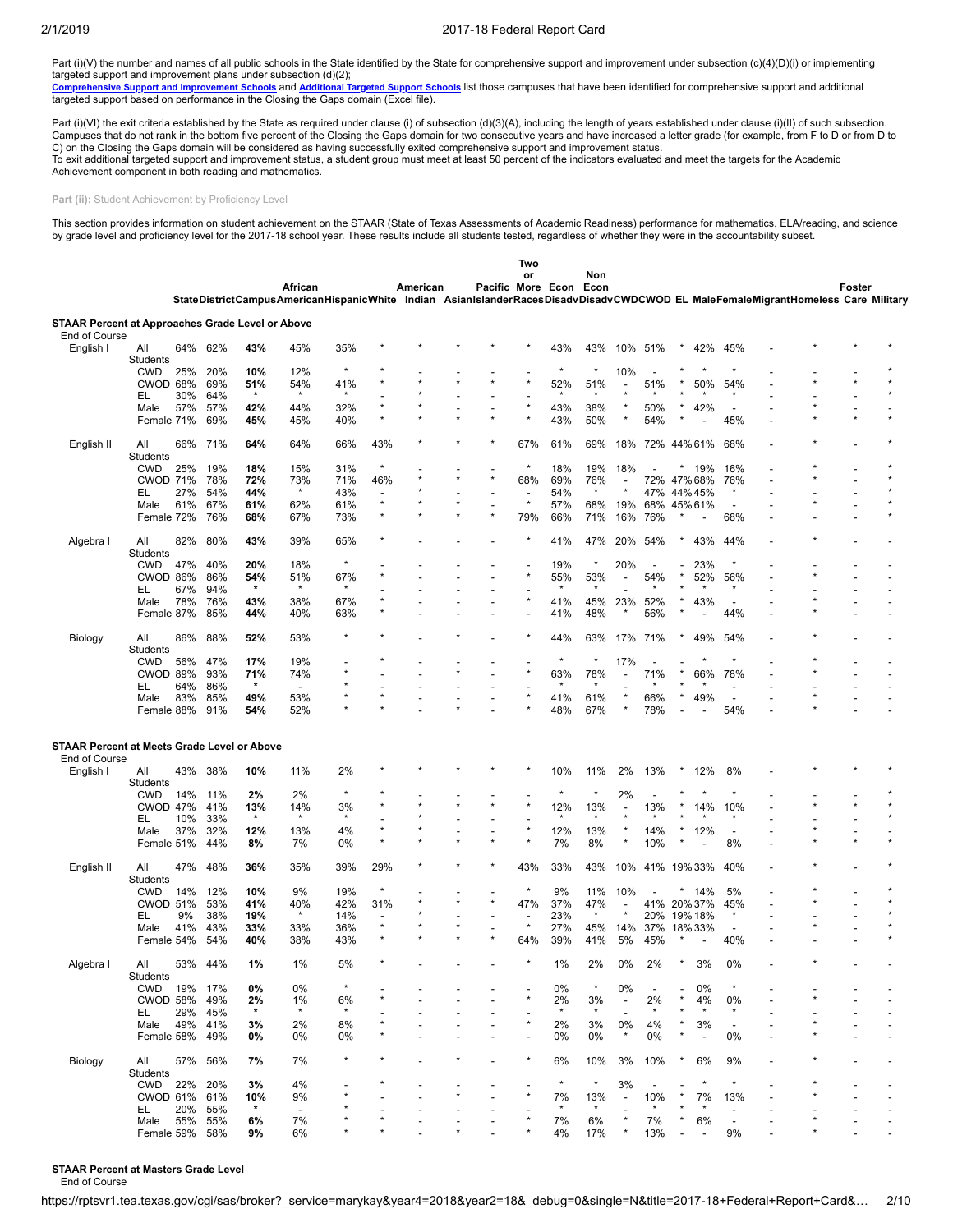Part (i)(V) the number and names of all public schools in the State identified by the State for comprehensive support and improvement under subsection (c)(4)(D)(i) or implementing targeted support and improvement plans under subsection (d)(2);

[Comprehensive](https://tea.texas.gov/WorkArea/DownloadAsset.aspx?id=51539624659) Support and Improvement Schools and [Additional](https://tea.texas.gov/WorkArea/DownloadAsset.aspx?id=51539624660) Targeted Support Schools list those campuses that have been identified for comprehensive support and additional targeted support based on performance in the Closing the Gaps domain (Excel file).

Part (i)(VI) the exit criteria established by the State as required under clause (i) of subsection (d)(3)(A), including the length of years established under clause (i)(II) of such subsection. Campuses that do not rank in the bottom five percent of the Closing the Gaps domain for two consecutive years and have increased a letter grade (for example, from F to D or from D to C) on the Closing the Gaps domain will be considered as having successfully exited comprehensive support and improvement status. To exit additional targeted support and improvement status, a student group must meet at least 50 percent of the indicators evaluated and meet the targets for the Academic Achievement component in both reading and mathematics.

Part (ii): Student Achievement by Proficiency Level

This section provides information on student achievement on the STAAR (State of Texas Assessments of Academic Readiness) performance for mathematics, ELA/reading, and science<br>by grade level and proficiency level for the 20

|                                                                   |                 |     |         |                |                                                                                                                                  |         |                          |          |                   | Two     |         |             |                          |                          |        |                          |                          |  |        |  |
|-------------------------------------------------------------------|-----------------|-----|---------|----------------|----------------------------------------------------------------------------------------------------------------------------------|---------|--------------------------|----------|-------------------|---------|---------|-------------|--------------------------|--------------------------|--------|--------------------------|--------------------------|--|--------|--|
|                                                                   |                 |     |         |                | African                                                                                                                          |         |                          | American | Pacific More Econ | or      |         | Non<br>Econ |                          |                          |        |                          |                          |  | Foster |  |
|                                                                   |                 |     |         |                | StateDistrictCampusAmericanHispanicWhite Indian AsianIslanderRacesDisadvDisadvCWDCWOD EL MaleFemaleMigrantHomeless Care Military |         |                          |          |                   |         |         |             |                          |                          |        |                          |                          |  |        |  |
| STAAR Percent at Approaches Grade Level or Above<br>End of Course |                 |     |         |                |                                                                                                                                  |         |                          |          |                   |         |         |             |                          |                          |        |                          |                          |  |        |  |
| English I                                                         | All<br>Students | 64% | 62%     | 43%            | 45%                                                                                                                              | 35%     |                          |          |                   |         | 43%     | 43%         | 10%                      | 51%                      |        | 42%                      | 45%                      |  |        |  |
|                                                                   | <b>CWD</b>      | 25% | 20%     | 10%            | 12%                                                                                                                              | $\star$ |                          |          |                   |         | $\star$ |             | 10%                      |                          |        |                          |                          |  |        |  |
|                                                                   | CWOD 68%        |     | 69%     | 51%            | 54%                                                                                                                              | 41%     |                          |          |                   | ż       | 52%     | 51%         |                          | 51%                      |        | 50%                      | 54%                      |  |        |  |
|                                                                   | EL              | 30% | 64%     | $\pmb{\ast}$   |                                                                                                                                  |         |                          |          |                   |         |         |             |                          |                          |        |                          |                          |  |        |  |
|                                                                   | Male            | 57% | 57%     | 42%            | 44%                                                                                                                              | 32%     |                          |          |                   |         | 43%     | 38%         |                          | 50%                      |        | 42%                      |                          |  |        |  |
|                                                                   | Female 71%      |     | 69%     | 45%            | 45%                                                                                                                              | 40%     |                          |          |                   |         | 43%     | 50%         |                          | 54%                      |        |                          | 45%                      |  |        |  |
| English II                                                        | All<br>Students | 66% | 71%     | 64%            | 64%                                                                                                                              | 66%     | 43%                      |          |                   | 67%     | 61%     | 69%         | 18%                      |                          |        | 72% 44% 61%              | 68%                      |  |        |  |
|                                                                   | <b>CWD</b>      | 25% | 19%     | 18%            | 15%                                                                                                                              | 31%     |                          |          |                   | $\star$ | 18%     | 19%         | 18%                      |                          |        | 19%                      | 16%                      |  |        |  |
|                                                                   | <b>CWOD 71%</b> |     | 78%     | 72%            | 73%                                                                                                                              | 71%     | 46%                      |          |                   | 68%     | 69%     | 76%         |                          |                          |        | 72% 47% 68%              | 76%                      |  |        |  |
|                                                                   | EL              | 27% | 54%     | 44%            | $\star$                                                                                                                          | 43%     |                          |          |                   |         | 54%     |             |                          | 47%                      |        | 44%45%                   |                          |  |        |  |
|                                                                   | Male            | 61% | 67%     | 61%            | 62%                                                                                                                              | 61%     | ÷                        |          |                   | $\star$ | 57%     | 68%         | 19%                      | 68%                      |        | 45% 61%                  | $\overline{\phantom{a}}$ |  |        |  |
|                                                                   | Female 72%      |     | 76%     | 68%            | 67%                                                                                                                              | 73%     |                          |          |                   | 79%     | 66%     | 71%         | 16%                      | 76%                      |        |                          | 68%                      |  |        |  |
| Algebra I                                                         | All<br>Students | 82% | 80%     | 43%            | 39%                                                                                                                              | 65%     |                          |          |                   |         | 41%     | 47%         | 20%                      | 54%                      |        | 43%                      | 44%                      |  |        |  |
|                                                                   | <b>CWD</b>      | 47% | 40%     | 20%            | 18%                                                                                                                              | $\star$ |                          |          |                   |         | 19%     | $\star$     | 20%                      | $\overline{\phantom{a}}$ |        | 23%                      | $\star$                  |  |        |  |
|                                                                   | CWOD 86%        |     | 86%     | 54%            | 51%                                                                                                                              | 67%     |                          |          |                   | ÷       | 55%     | 53%         |                          | 54%                      |        | 52%                      | 56%                      |  |        |  |
|                                                                   | EL              | 67% | 94%     | $\star$        | $\star$                                                                                                                          | $\star$ |                          |          |                   |         | ÷       | $\star$     |                          |                          |        |                          |                          |  |        |  |
|                                                                   | Male            | 78% | 76%     | 43%            | 38%                                                                                                                              | 67%     |                          |          |                   |         | 41%     | 45%         | 23%                      | 52%                      |        | 43%                      | $\overline{\phantom{a}}$ |  |        |  |
|                                                                   | Female 87%      |     | 85%     | 44%            | 40%                                                                                                                              | 63%     |                          |          |                   |         | 41%     | 48%         |                          | 56%                      |        |                          | 44%                      |  |        |  |
| Biology                                                           | All             | 86% | 88%     | 52%            | 53%                                                                                                                              | $\star$ |                          |          |                   |         | 44%     | 63%         | 17%                      | 71%                      |        | 49%                      | 54%                      |  |        |  |
|                                                                   | Students        |     |         |                |                                                                                                                                  |         |                          |          |                   |         | $\star$ | $\star$     |                          |                          |        |                          |                          |  |        |  |
|                                                                   | <b>CWD</b>      | 56% | 47%     | 17%            | 19%                                                                                                                              |         |                          |          |                   |         |         | 78%         | 17%                      | 71%                      |        |                          |                          |  |        |  |
|                                                                   | <b>CWOD 89%</b> |     | 93%     | 71%<br>$\star$ | 74%                                                                                                                              |         |                          |          |                   |         | 63%     |             |                          |                          |        | 66%                      | 78%                      |  |        |  |
|                                                                   | EL              | 64% | 86%     |                | $\blacksquare$                                                                                                                   |         |                          |          |                   |         |         |             |                          |                          |        |                          |                          |  |        |  |
|                                                                   | Male            | 83% | 85%     | 49%            | 53%                                                                                                                              |         |                          |          |                   |         | 41%     | 61%         |                          | 66%                      |        | 49%                      | $\overline{\phantom{a}}$ |  |        |  |
|                                                                   | Female 88%      |     | 91%     | 54%            | 52%                                                                                                                              |         |                          |          |                   |         | 48%     | 67%         |                          | 78%                      |        |                          | 54%                      |  |        |  |
| <b>STAAR Percent at Meets Grade Level or Above</b>                |                 |     |         |                |                                                                                                                                  |         |                          |          |                   |         |         |             |                          |                          |        |                          |                          |  |        |  |
| End of Course                                                     |                 |     |         |                |                                                                                                                                  |         |                          |          |                   |         |         |             |                          |                          |        |                          |                          |  |        |  |
| English I                                                         | All<br>Students | 43% | 38%     | 10%            | 11%                                                                                                                              | 2%      |                          |          |                   |         | 10%     | 11%         | 2%                       | 13%                      |        | 12%                      | 8%                       |  |        |  |
|                                                                   | <b>CWD</b>      | 14% | 11%     | 2%             | 2%                                                                                                                               | $\star$ |                          |          |                   |         | ż       |             | 2%                       |                          |        |                          |                          |  |        |  |
|                                                                   | <b>CWOD 47%</b> |     | 41%     | 13%            | 14%                                                                                                                              | 3%      |                          |          |                   |         | 12%     | 13%         |                          | 13%                      |        | 14%                      | 10%                      |  |        |  |
|                                                                   | EL              | 10% | 33%     | $\star$        | $\star$                                                                                                                          | $\star$ |                          |          |                   |         | $\star$ | $\star$     |                          |                          |        |                          | $\star$                  |  |        |  |
|                                                                   | Male            | 37% | 32%     | 12%            | 13%                                                                                                                              | 4%      |                          |          |                   |         | 12%     | 13%         |                          | 14%                      |        | 12%                      | $\overline{\phantom{a}}$ |  |        |  |
|                                                                   | Female 51%      |     | 44%     | 8%             | 7%                                                                                                                               | 0%      | ٨                        |          |                   |         | 7%      | 8%          |                          | 10%                      |        |                          | 8%                       |  |        |  |
|                                                                   |                 |     |         |                |                                                                                                                                  |         |                          |          |                   |         |         |             |                          |                          |        |                          |                          |  |        |  |
| English II                                                        | All<br>Students | 47% | 48%     | 36%            | 35%                                                                                                                              | 39%     | 29%                      |          |                   | 43%     | 33%     | 43%         | 10%                      |                          |        | 41% 19% 33%              | 40%                      |  |        |  |
|                                                                   | <b>CWD</b>      | 14% | 12%     | 10%            | 9%                                                                                                                               | 19%     |                          |          |                   | $\star$ | 9%      | 11%         | 10%                      |                          |        | 14%                      | 5%                       |  |        |  |
|                                                                   | <b>CWOD 51%</b> |     | 53%     | 41%            | 40%                                                                                                                              | 42%     | 31%                      |          |                   | 47%     | 37%     | 47%         |                          |                          |        | 41% 20% 37%              | 45%                      |  |        |  |
|                                                                   | EL              | 9%  | 38%     | 19%            | $\star$                                                                                                                          | 14%     | $\overline{\phantom{a}}$ |          |                   |         | 23%     | $\star$     |                          | 20%                      |        | 19% 18%                  | $\star$                  |  |        |  |
|                                                                   | Male            | 41% | 43%     | 33%            | 33%                                                                                                                              | 36%     | $\star$                  |          |                   | ×       | 27%     | 45%         | 14%                      | 37%                      |        | 18%33%                   |                          |  |        |  |
|                                                                   | Female 54%      |     | 54%     | 40%            | 38%                                                                                                                              | 43%     |                          |          |                   | 64%     | 39%     | 41%         | 5%                       | 45%                      |        |                          | 40%                      |  |        |  |
| Algebra I                                                         | All<br>Students |     | 53% 44% | 1%             | 1%                                                                                                                               | 5%      |                          |          |                   |         | 1%      | 2%          | 0%                       | 2%                       |        | 3%                       | 0%                       |  |        |  |
|                                                                   | CWD             | 19% | 17%     | 0%             | 0%                                                                                                                               |         |                          |          |                   |         | 0%      |             | 0%                       |                          |        | 0%                       |                          |  |        |  |
|                                                                   | <b>CWOD 58%</b> |     | 49%     | 2%             | 1%                                                                                                                               | 6%      |                          |          |                   |         | 2%      | 3%          |                          | 2%                       |        | 4%                       | 0%                       |  |        |  |
|                                                                   | EL.             | 29% | 45%     | $\star$        |                                                                                                                                  |         |                          |          |                   |         | $\star$ |             |                          |                          |        |                          |                          |  |        |  |
|                                                                   | Male            | 49% | 41%     | 3%             | 2%                                                                                                                               | 8%      |                          |          |                   |         | 2%      | 3%          | 0%                       | 4%                       |        | 3%                       |                          |  |        |  |
|                                                                   | Female 58%      |     | 49%     | 0%             | 0%                                                                                                                               | 0%      |                          |          |                   |         | 0%      | 0%          | $\star$                  | 0%                       |        | $\overline{\phantom{a}}$ | 0%                       |  |        |  |
| Biology                                                           | All             | 57% | 56%     | 7%             | 7%                                                                                                                               | $\star$ |                          |          |                   | ×       | 6%      | 10%         | 3%                       | 10%                      |        | 6%                       | 9%                       |  |        |  |
|                                                                   | Students        |     |         |                |                                                                                                                                  |         |                          |          |                   |         |         |             |                          |                          |        |                          |                          |  |        |  |
|                                                                   | CWD             | 22% | 20%     | 3%             | 4%                                                                                                                               |         |                          |          |                   |         | $\star$ | $\star$     | 3%                       |                          |        | $\star$                  | $\star$                  |  |        |  |
|                                                                   | CWOD 61%        |     | 61%     | 10%            | 9%                                                                                                                               |         |                          |          |                   |         | 7%      | 13%         | $\overline{\phantom{a}}$ | 10%                      | $\ast$ | 7%                       | 13%                      |  |        |  |
|                                                                   | EL.             | 20% | 55%     | $\pmb{\ast}$   | $\overline{\phantom{a}}$                                                                                                         |         |                          |          |                   |         | $\star$ | $\star$     |                          | $\star$                  |        |                          |                          |  |        |  |
|                                                                   | Male            | 55% | 55%     | 6%             | 7%                                                                                                                               |         |                          |          |                   |         | 7%      | 6%          |                          | 7%                       |        | 6%                       |                          |  |        |  |
|                                                                   | Female 59%      |     | 58%     | 9%             | 6%                                                                                                                               |         |                          |          |                   |         | 4%      | 17%         | $^{\star}$               | 13%                      |        | $\overline{\phantom{a}}$ | 9%                       |  |        |  |

#### **STAAR Percent at Masters Grade Level**

End of Course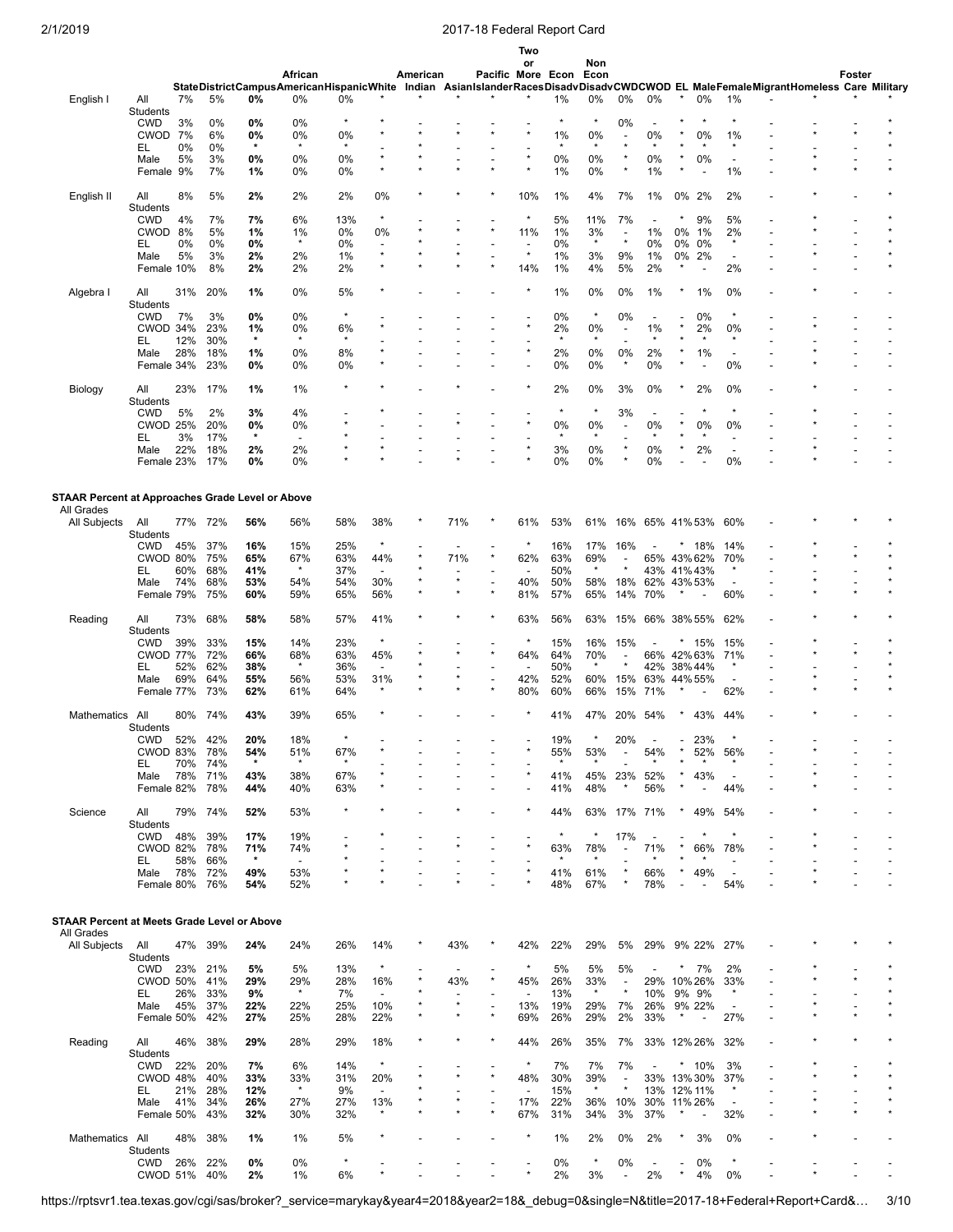|                                                  |                               |            |            |               |                          |               |                                     |          |     |                          | Two                             |                   |                |                          |                                |                  |                          |                                 |                                                                                                                                  |        |  |
|--------------------------------------------------|-------------------------------|------------|------------|---------------|--------------------------|---------------|-------------------------------------|----------|-----|--------------------------|---------------------------------|-------------------|----------------|--------------------------|--------------------------------|------------------|--------------------------|---------------------------------|----------------------------------------------------------------------------------------------------------------------------------|--------|--|
|                                                  |                               |            |            |               | African                  |               |                                     | American |     |                          | or                              | Pacific More Econ | Non<br>Econ    |                          |                                |                  |                          |                                 |                                                                                                                                  | Foster |  |
|                                                  |                               |            |            |               |                          |               |                                     |          |     |                          |                                 |                   |                |                          |                                |                  |                          |                                 | StateDistrictCampusAmericanHispanicWhite Indian AsianIslanderRacesDisadvDisadvCWDCWOD EL MaleFemaleMigrantHomeless Care Military |        |  |
| English I                                        | All                           | 7%         | 5%         | 0%            | 0%                       | 0%            |                                     |          |     |                          |                                 | 1%                | 0%             | 0%                       | 0%                             | $\star$          | 0%                       | 1%                              |                                                                                                                                  |        |  |
|                                                  | Students<br><b>CWD</b>        | 3%         | 0%         | 0%            | 0%                       | $\star$       |                                     |          |     |                          |                                 | $\star$           | $\star$        | 0%                       |                                |                  |                          |                                 |                                                                                                                                  |        |  |
|                                                  | CWOD 7%                       |            | 6%         | 0%            | 0%                       | 0%            |                                     |          |     |                          |                                 | 1%                | 0%             | $\overline{\phantom{a}}$ | 0%                             |                  | 0%                       | 1%                              |                                                                                                                                  |        |  |
|                                                  | EL                            | 0%         | 0%         | $\star$       | $\star$                  | $\star$       |                                     |          |     |                          |                                 | $\star$           | $\star$        |                          | $\star$                        |                  |                          |                                 |                                                                                                                                  |        |  |
|                                                  | Male                          | 5%         | 3%         | 0%            | 0%                       | 0%            |                                     |          |     |                          |                                 | 0%                | 0%             |                          | 0%                             |                  | 0%                       |                                 |                                                                                                                                  |        |  |
|                                                  | Female 9%                     |            | 7%         | 1%            | 0%                       | 0%            |                                     |          |     |                          |                                 | 1%                | 0%             |                          | 1%                             |                  |                          | 1%                              |                                                                                                                                  |        |  |
| English II                                       | All                           | 8%         | 5%         | 2%            | 2%                       | 2%            | 0%                                  |          |     |                          | 10%                             | 1%                | 4%             | 7%                       | 1%                             | 0% 2%            |                          | 2%                              |                                                                                                                                  |        |  |
|                                                  | Students                      |            |            |               |                          |               |                                     |          |     |                          |                                 |                   |                |                          |                                |                  |                          |                                 |                                                                                                                                  |        |  |
|                                                  | <b>CWD</b>                    | 4%         | 7%         | 7%            | 6%                       | 13%           | $\star$                             |          |     |                          | $\star$                         | 5%                | 11%            | 7%                       | $\overline{\phantom{a}}$       |                  | 9%                       | 5%                              |                                                                                                                                  |        |  |
|                                                  | CWOD 8%                       |            | 5%         | 1%            | 1%                       | 0%            | 0%                                  |          |     |                          | 11%                             | 1%                | 3%             | $\overline{\phantom{a}}$ | 1%                             | 0%               | 1%                       | 2%                              |                                                                                                                                  |        |  |
|                                                  | EL                            | $0\%$      | 0%         | 0%            | $\star$                  | $0\%$         | $\overline{\phantom{a}}$<br>$\star$ |          |     |                          | $\overline{a}$<br>$\star$       | 0%                | $\star$        | $\star$                  | 0%                             | 0%               | 0%                       | $\star$                         |                                                                                                                                  |        |  |
|                                                  | Male<br>Female 10%            | 5%         | 3%<br>8%   | 2%<br>2%      | 2%<br>2%                 | 1%<br>2%      | $\star$                             |          |     |                          | 14%                             | 1%<br>1%          | 3%<br>4%       | 9%<br>5%                 | 1%<br>2%                       | 0% 2%<br>$\star$ | $\overline{a}$           | 2%                              |                                                                                                                                  |        |  |
|                                                  |                               |            |            |               |                          |               |                                     |          |     |                          |                                 |                   |                |                          |                                |                  |                          |                                 |                                                                                                                                  |        |  |
| Algebra I                                        | All                           | 31%        | 20%        | 1%            | 0%                       | 5%            |                                     |          |     |                          |                                 | 1%                | 0%             | 0%                       | 1%                             |                  | 1%                       | 0%                              |                                                                                                                                  |        |  |
|                                                  | Students                      |            |            |               |                          |               |                                     |          |     |                          |                                 |                   |                |                          |                                |                  |                          |                                 |                                                                                                                                  |        |  |
|                                                  | <b>CWD</b>                    | 7%         | 3%         | 0%            | 0%                       |               |                                     |          |     |                          |                                 | 0%                | $\star$        | 0%                       |                                |                  | 0%                       |                                 |                                                                                                                                  |        |  |
|                                                  | CWOD 34%                      | 12%        | 23%<br>30% | 1%<br>$\star$ | 0%<br>$\star$            | 6%<br>$\star$ |                                     |          |     |                          |                                 | 2%<br>$\star$     | 0%<br>$\star$  |                          | 1%<br>$\star$                  |                  | 2%<br>$\star$            | 0%<br>$\star$                   |                                                                                                                                  |        |  |
|                                                  | EL<br>Male                    | 28%        | 18%        | 1%            | 0%                       | 8%            |                                     |          |     |                          |                                 | 2%                | 0%             | 0%                       | 2%                             |                  | 1%                       |                                 |                                                                                                                                  |        |  |
|                                                  | Female 34%                    |            | 23%        | 0%            | 0%                       | 0%            |                                     |          |     |                          |                                 | 0%                | 0%             |                          | 0%                             |                  | $\overline{\phantom{a}}$ | 0%                              |                                                                                                                                  |        |  |
|                                                  |                               |            |            |               |                          |               |                                     |          |     |                          |                                 |                   |                |                          |                                |                  |                          |                                 |                                                                                                                                  |        |  |
| Biology                                          | All                           | 23%        | 17%        | 1%            | 1%                       | $\star$       |                                     |          |     |                          |                                 | 2%                | 0%             | 3%                       | 0%                             |                  | 2%                       | 0%                              |                                                                                                                                  |        |  |
|                                                  | Students                      |            |            |               |                          |               |                                     |          |     |                          |                                 |                   | $\star$        |                          |                                |                  |                          |                                 |                                                                                                                                  |        |  |
|                                                  | <b>CWD</b><br><b>CWOD 25%</b> | 5%         | 2%<br>20%  | 3%<br>0%      | 4%<br>0%                 |               |                                     |          |     |                          |                                 | $\star$<br>0%     | 0%             | 3%                       | $\overline{\phantom{a}}$<br>0% |                  | 0%                       | 0%                              |                                                                                                                                  |        |  |
|                                                  | EL                            | 3%         | 17%        | $\star$       | $\overline{\phantom{a}}$ |               |                                     |          |     |                          |                                 | $\star$           |                |                          |                                |                  |                          |                                 |                                                                                                                                  |        |  |
|                                                  | Male                          | 22%        | 18%        | 2%            | 2%                       |               |                                     |          |     |                          |                                 | 3%                | 0%             |                          | 0%                             |                  | 2%                       | $\overline{\phantom{a}}$        |                                                                                                                                  |        |  |
|                                                  | Female 23%                    |            | 17%        | 0%            | 0%                       |               |                                     |          |     |                          |                                 | 0%                | 0%             | $\star$                  | 0%                             |                  |                          | 0%                              |                                                                                                                                  |        |  |
|                                                  |                               |            |            |               |                          |               |                                     |          |     |                          |                                 |                   |                |                          |                                |                  |                          |                                 |                                                                                                                                  |        |  |
| STAAR Percent at Approaches Grade Level or Above |                               |            |            |               |                          |               |                                     |          |     |                          |                                 |                   |                |                          |                                |                  |                          |                                 |                                                                                                                                  |        |  |
| All Grades                                       |                               |            |            |               |                          |               |                                     |          |     |                          |                                 |                   |                |                          |                                |                  |                          |                                 |                                                                                                                                  |        |  |
| All Subjects                                     | All                           | 77%        | 72%        | 56%           | 56%                      | 58%           | 38%                                 |          | 71% |                          | 61%                             | 53%               | 61%            | 16%                      | 65% 41% 53%                    |                  |                          | 60%                             |                                                                                                                                  |        |  |
|                                                  | Students                      |            |            |               |                          |               |                                     |          |     |                          |                                 |                   |                |                          |                                |                  |                          |                                 |                                                                                                                                  |        |  |
|                                                  | <b>CWD</b>                    | 45%        | 37%        | 16%           | 15%                      | 25%           | $\star$                             |          |     |                          | $\star$                         | 16%               | 17%            | 16%                      |                                |                  | 18%                      | 14%                             |                                                                                                                                  |        |  |
|                                                  | CWOD 80%                      |            | 75%        | 65%           | 67%<br>$\star$           | 63%           | 44%                                 |          | 71% | $^{\star}$               | 62%                             | 63%               | 69%            |                          | 65% 43% 62%                    |                  |                          | 70%                             |                                                                                                                                  |        |  |
|                                                  | EL<br>Male                    | 60%<br>74% | 68%<br>68% | 41%<br>53%    | 54%                      | 37%<br>54%    | $\overline{\phantom{a}}$<br>30%     |          |     |                          | $\overline{\phantom{a}}$<br>40% | 50%<br>50%        | 58%            | 18%                      | 43% 41%43%<br>62%              | 43%53%           |                          |                                 |                                                                                                                                  |        |  |
|                                                  | Female 79%                    |            | 75%        | 60%           | 59%                      | 65%           | 56%                                 |          |     |                          | 81%                             | 57%               | 65%            | 14%                      | 70%                            | $\ast$           | $\overline{a}$           | 60%                             |                                                                                                                                  |        |  |
|                                                  |                               |            |            |               |                          |               |                                     |          |     |                          |                                 |                   |                |                          |                                |                  |                          |                                 |                                                                                                                                  |        |  |
| Reading                                          | All                           | 73%        | 68%        | 58%           | 58%                      | 57%           | 41%                                 |          |     |                          | 63%                             | 56%               | 63%            | 15%                      | 66% 38% 55%                    |                  |                          | 62%                             |                                                                                                                                  |        |  |
|                                                  | Students                      |            |            |               |                          |               |                                     |          |     |                          |                                 |                   |                |                          |                                |                  |                          |                                 |                                                                                                                                  |        |  |
|                                                  | <b>CWD</b>                    | 39%        | 33%        | 15%           | 14%                      | 23%           |                                     |          |     |                          | $\star$                         | 15%               | 16%            | 15%                      |                                | $\star$          | 15%                      | 15%                             |                                                                                                                                  |        |  |
|                                                  | <b>CWOD 77%</b><br>EL         | 52%        | 72%<br>62% | 66%<br>38%    | 68%<br>$\star$           | 63%<br>36%    | 45%<br>$\overline{\phantom{a}}$     |          |     |                          | 64%                             | 64%<br>50%        | 70%<br>$\star$ |                          | 66% 42% 63%<br>42%             | 38%44%           |                          | 71%<br>×                        |                                                                                                                                  |        |  |
|                                                  | Male                          | 69%        | 64%        | 55%           | 56%                      | 53%           | 31%                                 |          |     |                          | 42%                             | 52%               | 60%            | 15%                      | 63%                            | 44% 55%          |                          | $\overline{\phantom{a}}$        |                                                                                                                                  |        |  |
|                                                  | Female 77%                    |            | 73%        | 62%           | 61%                      | 64%           | ×                                   |          |     |                          | 80%                             | 60%               | 66%            | 15%                      | 71%                            |                  |                          | 62%                             |                                                                                                                                  |        |  |
|                                                  |                               |            |            |               |                          |               |                                     |          |     |                          |                                 |                   |                |                          |                                |                  |                          |                                 |                                                                                                                                  |        |  |
| Mathematics                                      | All                           | 80%        | 74%        | 43%           | 39%                      | 65%           |                                     |          |     |                          |                                 | 41%               | 47%            | 20%                      | 54%                            |                  | 43%                      | 44%                             |                                                                                                                                  |        |  |
|                                                  | Students<br><b>CWD</b>        | 52%        | 42%        | 20%           | 18%                      | $\star$       |                                     |          |     |                          |                                 | 19%               |                | 20%                      |                                |                  | 23%                      |                                 |                                                                                                                                  |        |  |
|                                                  | CWOD 83%                      |            | 78%        | 54%           | 51%                      | 67%           |                                     |          |     |                          |                                 | 55%               | 53%            |                          | 54%                            |                  | 52%                      | 56%                             |                                                                                                                                  |        |  |
|                                                  | EL                            | 70%        | 74%        | $\star$       | $\star$                  | $\star$       |                                     |          |     |                          |                                 |                   |                |                          |                                |                  |                          |                                 |                                                                                                                                  |        |  |
|                                                  | Male                          | 78%        | 71%        | 43%           | 38%                      | 67%           |                                     |          |     |                          |                                 | 41%               | 45%            | 23%                      | 52%                            |                  | 43%                      | $\overline{\phantom{a}}$        |                                                                                                                                  |        |  |
|                                                  | Female 82%                    |            | 78%        | 44%           | 40%                      | 63%           |                                     |          |     |                          |                                 | 41%               | 48%            | $\ast$                   | 56%                            |                  | $\overline{\phantom{a}}$ | 44%                             |                                                                                                                                  |        |  |
| Science                                          | All                           |            | 79% 74%    | 52%           | 53%                      | $\star$       |                                     |          |     |                          |                                 | 44%               | 63%            | 17% 71%                  |                                |                  | 49%                      | 54%                             |                                                                                                                                  |        |  |
|                                                  | Students                      |            |            |               |                          |               |                                     |          |     |                          |                                 |                   |                |                          |                                |                  |                          |                                 |                                                                                                                                  |        |  |
|                                                  | <b>CWD</b>                    | 48%        | 39%        | 17%           | 19%                      |               |                                     |          |     |                          |                                 | $\star$           | $\star$        | 17%                      | $\overline{\phantom{a}}$       |                  |                          | $\star$                         |                                                                                                                                  |        |  |
|                                                  | <b>CWOD 82%</b>               |            | 78%        | 71%           | 74%                      |               |                                     |          |     |                          | ż                               | 63%               | 78%            | $\overline{a}$           | 71%                            | $\star$          | 66%                      | 78%                             |                                                                                                                                  |        |  |
|                                                  | EL                            | 58%        | 66%        | $\star$       | $\blacksquare$           |               |                                     |          |     |                          |                                 | $\star$           | $\star$        |                          | $\star$                        |                  |                          | $\overline{\phantom{a}}$        |                                                                                                                                  |        |  |
|                                                  | Male<br>Female 80%            | 78%        | 72%<br>76% | 49%<br>54%    | 53%<br>52%               |               |                                     |          |     |                          |                                 | 41%<br>48%        | 61%<br>67%     | $^{\star}$               | 66%<br>78%                     |                  | 49%<br>$\overline{a}$    | $\overline{\phantom{a}}$<br>54% |                                                                                                                                  |        |  |
|                                                  |                               |            |            |               |                          |               |                                     |          |     |                          |                                 |                   |                |                          |                                |                  |                          |                                 |                                                                                                                                  |        |  |
|                                                  |                               |            |            |               |                          |               |                                     |          |     |                          |                                 |                   |                |                          |                                |                  |                          |                                 |                                                                                                                                  |        |  |
| STAAR Percent at Meets Grade Level or Above      |                               |            |            |               |                          |               |                                     |          |     |                          |                                 |                   |                |                          |                                |                  |                          |                                 |                                                                                                                                  |        |  |
| All Grades                                       |                               |            |            |               |                          |               |                                     |          |     |                          |                                 |                   |                |                          |                                |                  |                          |                                 |                                                                                                                                  |        |  |
| All Subjects                                     | All<br><b>Students</b>        | 47%        | 39%        | 24%           | 24%                      | 26%           | 14%                                 |          | 43% |                          | 42%                             | 22%               | 29%            | 5%                       | 29% 9% 22%                     |                  |                          | 27%                             |                                                                                                                                  |        |  |
|                                                  | CWD                           | 23%        | 21%        | 5%            | 5%                       | 13%           |                                     |          |     |                          | $\star$                         | 5%                | 5%             | 5%                       |                                | $\star$          | 7%                       | 2%                              |                                                                                                                                  |        |  |
|                                                  | <b>CWOD 50%</b>               |            | 41%        | 29%           | 29%                      | 28%           | 16%                                 |          | 43% | $\star$                  | 45%                             | 26%               | 33%            | $\overline{\phantom{a}}$ | 29% 10% 26%                    |                  |                          | 33%                             |                                                                                                                                  |        |  |
|                                                  | EL                            | 26%        | 33%        | 9%            | $\star$                  | 7%            |                                     |          |     |                          | $\overline{\phantom{a}}$        | 13%               | $\star$        | $\star$                  | 10% 9% 9%                      |                  |                          | $\star$                         |                                                                                                                                  |        |  |
|                                                  | Male                          | 45%        | 37%        | 22%           | 22%                      | 25%           | 10%                                 |          |     | $\overline{\phantom{a}}$ | 13%                             | 19%               | 29%            | 7%                       | 26%                            |                  | 9% 22%                   | $\overline{\phantom{a}}$        |                                                                                                                                  |        |  |
|                                                  | Female 50%                    |            | 42%        | 27%           | 25%                      | 28%           | 22%                                 |          |     | $\star$                  | 69%                             | 26%               | 29%            | 2%                       | 33%                            | $\ast$           | $\overline{\phantom{a}}$ | 27%                             |                                                                                                                                  |        |  |
| Reading                                          | All                           | 46%        | 38%        | 29%           | 28%                      | 29%           | 18%                                 |          |     |                          | 44%                             | 26%               | 35%            | 7%                       | 33% 12% 26%                    |                  |                          | 32%                             |                                                                                                                                  |        |  |
|                                                  | Students                      |            |            |               |                          |               |                                     |          |     |                          |                                 |                   |                |                          |                                |                  |                          |                                 |                                                                                                                                  |        |  |
|                                                  | CWD                           | 22%        | 20%        | 7%            | 6%                       | 14%           |                                     |          |     |                          | $\star$                         | 7%                | 7%             | 7%                       |                                |                  | $*10%$                   | 3%                              |                                                                                                                                  |        |  |
|                                                  | CWOD 48%                      |            | 40%        | 33%           | 33%                      | 31%           | 20%                                 |          |     |                          | 48%                             | 30%               | 39%            | $\overline{\phantom{a}}$ | 33% 13% 30%                    |                  |                          | 37%                             |                                                                                                                                  |        |  |
|                                                  | EL                            | 21%        | 28%        | 12%           | $^\star$                 | 9%            | $\overline{\phantom{a}}$            |          |     |                          | $\overline{\phantom{a}}$        | 15%               | $\star$        | $\star$                  | 13% 12% 11%                    |                  |                          |                                 |                                                                                                                                  |        |  |
|                                                  | Male                          | 41%        | 34%        | 26%           | 27%                      | 27%           | 13%                                 |          |     |                          | 17%                             | 22%               | 36%            | 10%                      | 30%                            | 11% 26%          |                          | $\overline{\phantom{a}}$        |                                                                                                                                  |        |  |
|                                                  | Female 50%                    |            | 43%        | 32%           | 30%                      | 32%           |                                     |          |     |                          | 67%                             | 31%               | 34%            | 3%                       | 37%                            |                  | $\overline{a}$           | 32%                             |                                                                                                                                  |        |  |
| Mathematics All                                  |                               | 48%        | 38%        | 1%            | 1%                       | 5%            |                                     |          |     |                          |                                 | 1%                | 2%             | 0%                       | 2%                             |                  | 3%                       | 0%                              |                                                                                                                                  |        |  |
|                                                  | Students                      |            |            |               |                          |               |                                     |          |     |                          |                                 |                   |                |                          |                                |                  |                          |                                 |                                                                                                                                  |        |  |
|                                                  | CWD                           | 26%        | 22%        | 0%            | 0%                       |               |                                     |          |     |                          |                                 | 0%                | $\star$        | 0%                       | $\overline{\phantom{a}}$       |                  | 0%                       | $\star$                         |                                                                                                                                  |        |  |
|                                                  | CWOD 51%                      |            | 40%        | 2%            | $1\%$                    | 6%            |                                     |          |     |                          |                                 | 2%                | 3%             |                          | 2%                             |                  | 4%                       | 0%                              |                                                                                                                                  |        |  |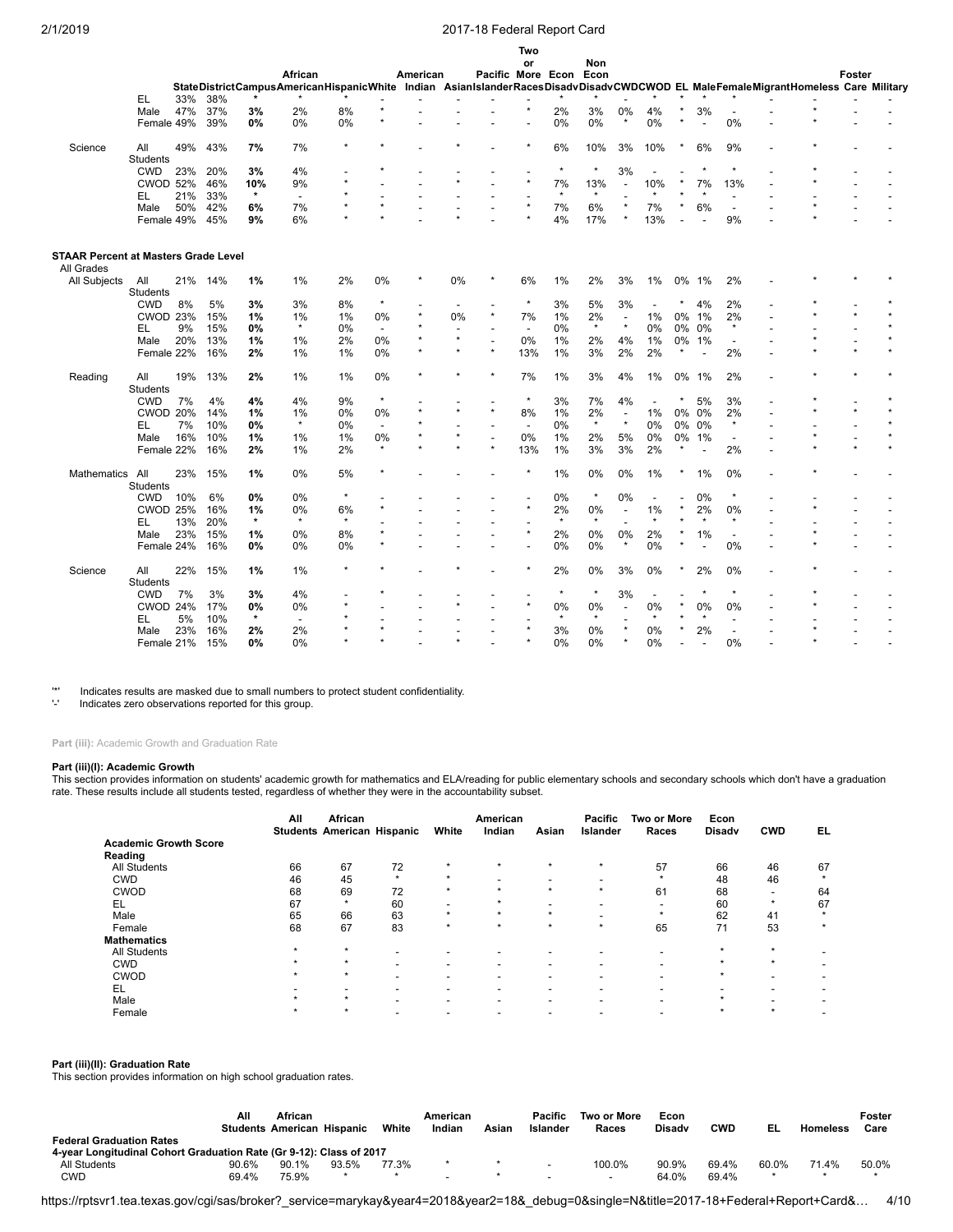|                                             |                 |     |     |         |                          |         |                          |          |                |                          | <b>IWO</b>               |         |          |         |         |         |                          |                          |                                                                                                                                  |        |  |
|---------------------------------------------|-----------------|-----|-----|---------|--------------------------|---------|--------------------------|----------|----------------|--------------------------|--------------------------|---------|----------|---------|---------|---------|--------------------------|--------------------------|----------------------------------------------------------------------------------------------------------------------------------|--------|--|
|                                             |                 |     |     |         | African                  |         |                          | American |                |                          | or                       |         | Non      |         |         |         |                          |                          |                                                                                                                                  | Foster |  |
|                                             |                 |     |     |         |                          |         |                          |          |                | Pacific More Econ Econ   |                          |         |          |         |         |         |                          |                          | StateDistrictCampusAmericanHispanicWhite Indian AsianIslanderRacesDisadvDisadvCWDCWOD EL MaleFemaleMigrantHomeless Care Military |        |  |
|                                             | EL              | 33% | 38% |         |                          |         |                          |          |                |                          |                          |         |          |         |         |         |                          |                          |                                                                                                                                  |        |  |
|                                             | Male            | 47% | 37% | 3%      | 2%                       | 8%      |                          |          |                |                          |                          | 2%      | 3%       | 0%      | 4%      |         | 3%                       | $\overline{\phantom{a}}$ |                                                                                                                                  |        |  |
|                                             | Female 49%      |     |     | 0%      | 0%                       | 0%      |                          |          |                |                          |                          | 0%      | 0%       | $\star$ | 0%      | $\star$ |                          | 0%                       |                                                                                                                                  |        |  |
|                                             |                 |     | 39% |         |                          |         |                          |          |                |                          |                          |         |          |         |         |         |                          |                          |                                                                                                                                  |        |  |
| Science                                     | All             | 49% | 43% | 7%      | 7%                       | $\star$ |                          |          |                |                          |                          | 6%      | 10%      | 3%      | 10%     |         | 6%                       | 9%                       |                                                                                                                                  |        |  |
|                                             | <b>Students</b> |     |     |         |                          |         |                          |          |                |                          |                          |         |          |         |         |         |                          |                          |                                                                                                                                  |        |  |
|                                             | <b>CWD</b>      | 23% | 20% | 3%      | 4%                       |         |                          |          |                |                          |                          | $\star$ | $^\star$ | 3%      |         |         | $\star$                  | $\star$                  |                                                                                                                                  |        |  |
|                                             | <b>CWOD 52%</b> |     | 46% | 10%     | 9%                       | ÷       |                          |          |                |                          | $\star$                  | 7%      | 13%      |         | 10%     |         | 7%                       | 13%                      |                                                                                                                                  |        |  |
|                                             | EL              | 21% | 33% | $\star$ | $\overline{\phantom{a}}$ |         |                          |          |                |                          |                          | $\star$ | $\star$  |         | $\star$ |         | $\star$                  |                          |                                                                                                                                  |        |  |
|                                             | Male            | 50% | 42% | 6%      | 7%                       |         |                          |          |                |                          | $\star$                  | 7%      | 6%       |         | 7%      |         | 6%                       | $\overline{\phantom{a}}$ |                                                                                                                                  |        |  |
|                                             | Female 49%      |     | 45% | 9%      | 6%                       | ÷       |                          |          |                |                          |                          | 4%      | 17%      |         | 13%     |         |                          | 9%                       |                                                                                                                                  |        |  |
|                                             |                 |     |     |         |                          |         |                          |          |                |                          |                          |         |          |         |         |         |                          |                          |                                                                                                                                  |        |  |
| <b>STAAR Percent at Masters Grade Level</b> |                 |     |     |         |                          |         |                          |          |                |                          |                          |         |          |         |         |         |                          |                          |                                                                                                                                  |        |  |
| All Grades                                  |                 |     |     |         |                          |         |                          |          |                |                          |                          |         |          |         |         |         |                          |                          |                                                                                                                                  |        |  |
| All Subjects                                | All             | 21% | 14% | 1%      | 1%                       | 2%      | 0%                       |          | 0%             |                          | 6%                       | 1%      | 2%       | 3%      | 1%      | 0%      | 1%                       | 2%                       |                                                                                                                                  |        |  |
|                                             | <b>Students</b> |     |     |         |                          |         | $\star$                  |          |                |                          |                          |         |          |         |         |         |                          |                          |                                                                                                                                  |        |  |
|                                             | <b>CWD</b>      | 8%  | 5%  | 3%      | 3%                       | 8%      |                          | $\star$  | $\overline{a}$ | $\overline{a}$           | $\star$                  | 3%      | 5%       | 3%      |         |         | 4%                       | 2%                       |                                                                                                                                  |        |  |
|                                             | <b>CWOD 23%</b> |     | 15% | 1%      | 1%                       | 1%      | 0%                       |          | 0%             | $^\star$                 | 7%                       | 1%      | 2%       |         | 1%      | 0%      | 1%                       | 2%                       |                                                                                                                                  |        |  |
|                                             | EL              | 9%  | 15% | 0%      | $\star$                  | 0%      | $\overline{\phantom{a}}$ |          |                |                          | $\overline{\phantom{a}}$ | 0%      | $\star$  |         | 0%      | 0%      | 0%                       | $\star$                  |                                                                                                                                  |        |  |
|                                             | Male            | 20% | 13% | 1%      | 1%                       | 2%      | $0\%$                    | $\star$  | $\star$        | $\overline{\phantom{a}}$ | $0\%$                    | 1%      | 2%       | 4%      | 1%      | 0%      | 1%                       |                          |                                                                                                                                  |        |  |
|                                             | Female 22%      |     | 16% | 2%      | 1%                       | 1%      | $0\%$                    | $\star$  |                | $\star$                  | 13%                      | 1%      | 3%       | 2%      | 2%      |         | $\overline{\phantom{a}}$ | 2%                       |                                                                                                                                  |        |  |
| Reading                                     | All             | 19% | 13% | 2%      | 1%                       | 1%      | $0\%$                    | $\star$  |                | $\star$                  | 7%                       | 1%      | 3%       | 4%      | 1%      | 0%      | 1%                       | 2%                       |                                                                                                                                  |        |  |
|                                             | <b>Students</b> |     |     |         |                          |         |                          |          |                |                          |                          |         |          |         |         |         |                          |                          |                                                                                                                                  |        |  |
|                                             | <b>CWD</b>      | 7%  | 4%  | 4%      | 4%                       | 9%      | $\star$                  |          |                |                          | $\star$                  | 3%      | 7%       | 4%      |         |         | 5%                       | 3%                       |                                                                                                                                  |        |  |
|                                             | <b>CWOD 20%</b> |     | 14% | 1%      | 1%                       | 0%      | 0%                       |          |                | $\star$                  | 8%                       | 1%      | 2%       |         | 1%      |         | 0% 0%                    | 2%                       |                                                                                                                                  |        |  |
|                                             | EL              | 7%  | 10% | $0\%$   | $\star$                  | 0%      |                          |          |                |                          |                          | 0%      | $\star$  |         | 0%      | 0%      | 0%                       | $\star$                  |                                                                                                                                  |        |  |
|                                             | Male            | 16% | 10% | 1%      | 1%                       | 1%      | 0%                       |          |                | $\overline{\phantom{a}}$ | 0%                       | 1%      | 2%       | 5%      | 0%      | 0%      | 1%                       | $\overline{\phantom{0}}$ |                                                                                                                                  |        |  |
|                                             | Female 22%      |     | 16% | 2%      | 1%                       | 2%      | $\star$                  |          |                |                          | 13%                      | 1%      | 3%       | 3%      | 2%      |         | $\overline{\phantom{a}}$ | 2%                       |                                                                                                                                  |        |  |
|                                             |                 |     |     |         |                          |         |                          |          |                |                          |                          |         |          |         |         |         |                          |                          |                                                                                                                                  |        |  |
| Mathematics                                 | All             | 23% | 15% | 1%      | 0%                       | 5%      |                          |          |                |                          |                          | 1%      | 0%       | 0%      | 1%      |         | 1%                       | 0%                       |                                                                                                                                  |        |  |
|                                             | Students        |     |     |         |                          |         |                          |          |                |                          |                          |         |          |         |         |         |                          |                          |                                                                                                                                  |        |  |
|                                             | <b>CWD</b>      | 10% | 6%  | 0%      | 0%                       |         |                          |          |                |                          |                          | 0%      | $\star$  | 0%      |         |         | 0%                       | $\star$                  |                                                                                                                                  |        |  |
|                                             | <b>CWOD 25%</b> |     | 16% | 1%      | 0%                       | 6%      |                          |          |                |                          |                          | 2%      | 0%       |         | 1%      |         | 2%                       | 0%                       |                                                                                                                                  |        |  |
|                                             | EL              | 13% | 20% | $\star$ | $\star$                  | $\star$ |                          |          |                |                          |                          | $\star$ | $\star$  |         |         |         |                          | ÷                        |                                                                                                                                  |        |  |
|                                             | Male            | 23% | 15% | 1%      | 0%                       | 8%      |                          |          |                |                          |                          | 2%      | 0%       | 0%      | 2%      |         | 1%                       | $\overline{\phantom{0}}$ |                                                                                                                                  |        |  |
|                                             | Female 24%      |     | 16% | $0\%$   | 0%                       | 0%      |                          |          |                |                          |                          | 0%      | 0%       | $\star$ | 0%      |         |                          | 0%                       |                                                                                                                                  |        |  |
| Science                                     | All             | 22% | 15% | 1%      | 1%                       | $\star$ |                          |          |                |                          |                          | 2%      | 0%       | 3%      | 0%      | ×       | 2%                       | 0%                       |                                                                                                                                  |        |  |
|                                             | <b>Students</b> |     |     |         |                          |         |                          |          |                |                          |                          |         |          |         |         |         |                          |                          |                                                                                                                                  |        |  |
|                                             | <b>CWD</b>      | 7%  | 3%  | 3%      | 4%                       |         |                          |          |                |                          |                          | $\star$ | $\star$  | 3%      |         |         | $\star$                  | ÷                        |                                                                                                                                  |        |  |
|                                             | CWOD 24%        |     | 17% | 0%      | 0%                       |         |                          |          |                |                          |                          | 0%      | 0%       |         | 0%      |         | 0%                       | 0%                       |                                                                                                                                  |        |  |
|                                             | EL              | 5%  | 10% | $\star$ | $\overline{\phantom{a}}$ |         |                          |          |                |                          |                          | $\star$ | $\star$  |         | $\star$ |         | ÷                        |                          |                                                                                                                                  |        |  |
|                                             | Male            | 23% | 16% | 2%      | 2%                       |         |                          |          |                |                          |                          | 3%      | 0%       |         | 0%      |         | 2%                       |                          |                                                                                                                                  |        |  |
|                                             |                 |     |     |         | 0%                       | ÷       |                          |          |                |                          | $\star$                  |         |          | $\star$ |         |         |                          | 0%                       |                                                                                                                                  |        |  |
|                                             | Female 21%      |     | 15% | 0%      |                          |         |                          |          |                |                          |                          | 0%      | 0%       |         | 0%      |         |                          |                          |                                                                                                                                  |        |  |

'\*' Indicates results are masked due to small numbers to protect student confidentiality. '-' Indicates zero observations reported for this group.

**Part (iii):** Academic Growth and Graduation Rate

#### **Part (iii)(I): Academic Growth**

This section provides information on students' academic growth for mathematics and ELA/reading for public elementary schools and secondary schools which don't have a graduation rate. These results include all students tested, regardless of whether they were in the accountability subset.

|                              | All     | African<br><b>Students American Hispanic</b> |                          | White                    | American<br>Indian       | Asian                    | <b>Pacific</b><br>Islander | Two or More<br>Races     | Econ<br><b>Disady</b> | <b>CWD</b>               | EL      |
|------------------------------|---------|----------------------------------------------|--------------------------|--------------------------|--------------------------|--------------------------|----------------------------|--------------------------|-----------------------|--------------------------|---------|
| <b>Academic Growth Score</b> |         |                                              |                          |                          |                          |                          |                            |                          |                       |                          |         |
| Reading                      |         |                                              |                          |                          |                          |                          |                            |                          |                       |                          |         |
| All Students                 | 66      | 67                                           | 72                       | $\star$                  | $\star$                  | $\star$                  | $\star$                    | 57                       | 66                    | 46                       | 67      |
| <b>CWD</b>                   | 46      | 45                                           | $\star$                  | $\star$                  | $\overline{\phantom{0}}$ |                          | -                          | ٠                        | 48                    | 46                       | $\star$ |
| <b>CWOD</b>                  | 68      | 69                                           | 72                       | $\star$                  | $\star$                  | $\star$                  | $\star$                    | 61                       | 68                    | $\overline{\phantom{a}}$ | 64      |
| EL                           | 67      | $\star$                                      | 60                       | $\overline{\phantom{a}}$ | $\star$                  |                          |                            | $\overline{\phantom{0}}$ | 60                    | $\star$                  | 67      |
| Male                         | 65      | 66                                           | 63                       | $\star$                  | $\star$                  | $\star$                  |                            | $\star$                  | 62                    | 41                       | $\star$ |
| Female                       | 68      | 67                                           | 83                       | $\star$                  | $\star$                  | $\star$                  | $\star$                    | 65                       | 71                    | 53                       | $\star$ |
| <b>Mathematics</b>           |         |                                              |                          |                          |                          |                          |                            |                          |                       |                          |         |
| All Students                 | $\star$ | $\star$                                      | -                        | $\overline{\phantom{0}}$ | $\overline{\phantom{a}}$ |                          |                            |                          | $\star$               | $\star$                  |         |
| <b>CWD</b>                   | $\star$ | $\star$                                      | $\overline{\phantom{a}}$ | $\overline{\phantom{0}}$ | $\overline{\phantom{a}}$ | $\overline{\phantom{0}}$ | -                          |                          | $\star$               | $\star$                  |         |
| CWOD                         | $\star$ | $\star$                                      | $\overline{\phantom{0}}$ | $\overline{\phantom{a}}$ | $\overline{\phantom{a}}$ | $\overline{\phantom{0}}$ |                            | -                        | $\star$               | -                        |         |
| EL                           |         | -                                            | $\overline{\phantom{0}}$ | $\overline{\phantom{0}}$ | $\overline{\phantom{a}}$ | $\overline{\phantom{0}}$ |                            |                          | -                     | -                        |         |
| Male                         | ÷       | $\star$                                      | $\overline{\phantom{0}}$ | $\overline{\phantom{0}}$ | $\overline{\phantom{a}}$ | $\overline{\phantom{a}}$ |                            | $\overline{\phantom{0}}$ | $\star$               | -                        |         |
| Female                       | $\star$ | $\star$                                      | $\overline{\phantom{0}}$ | $\overline{\phantom{0}}$ | $\overline{\phantom{a}}$ | $\overline{\phantom{0}}$ |                            | -                        | $\star$               | $\star$                  |         |

**Part (iii)(II): Graduation Rate** This section provides information on high school graduation rates.

|                                                                                                        | All   | African<br><b>Students American Hispanic</b> |       | White | American<br>Indian | Asian | Pacific<br>Islander      | Two or More<br>Races | Econ<br><b>Disady</b> | CWD   | EL    | Homeless | Foster<br>Care |
|--------------------------------------------------------------------------------------------------------|-------|----------------------------------------------|-------|-------|--------------------|-------|--------------------------|----------------------|-----------------------|-------|-------|----------|----------------|
| <b>Federal Graduation Rates</b><br>4-year Longitudinal Cohort Graduation Rate (Gr 9-12): Class of 2017 |       |                                              |       |       |                    |       |                          |                      |                       |       |       |          |                |
| <b>All Students</b>                                                                                    | 90.6% | 90.1%                                        | 93.5% | 77.3% |                    |       | $\overline{\phantom{a}}$ | 100.0%               | 90.9%                 | 69.4% | 60.0% | 71.4%    | 50.0%          |
| CWD                                                                                                    | 69.4% | 75.9%                                        |       |       |                    |       |                          |                      | 64.0%                 | 69.4% |       |          |                |

https://rptsvr1.tea.texas.gov/cgi/sas/broker?\_service=marykay&year4=2018&year2=18&\_debug=0&single=N&title=2017-18+Federal+Report+Card&… 4/10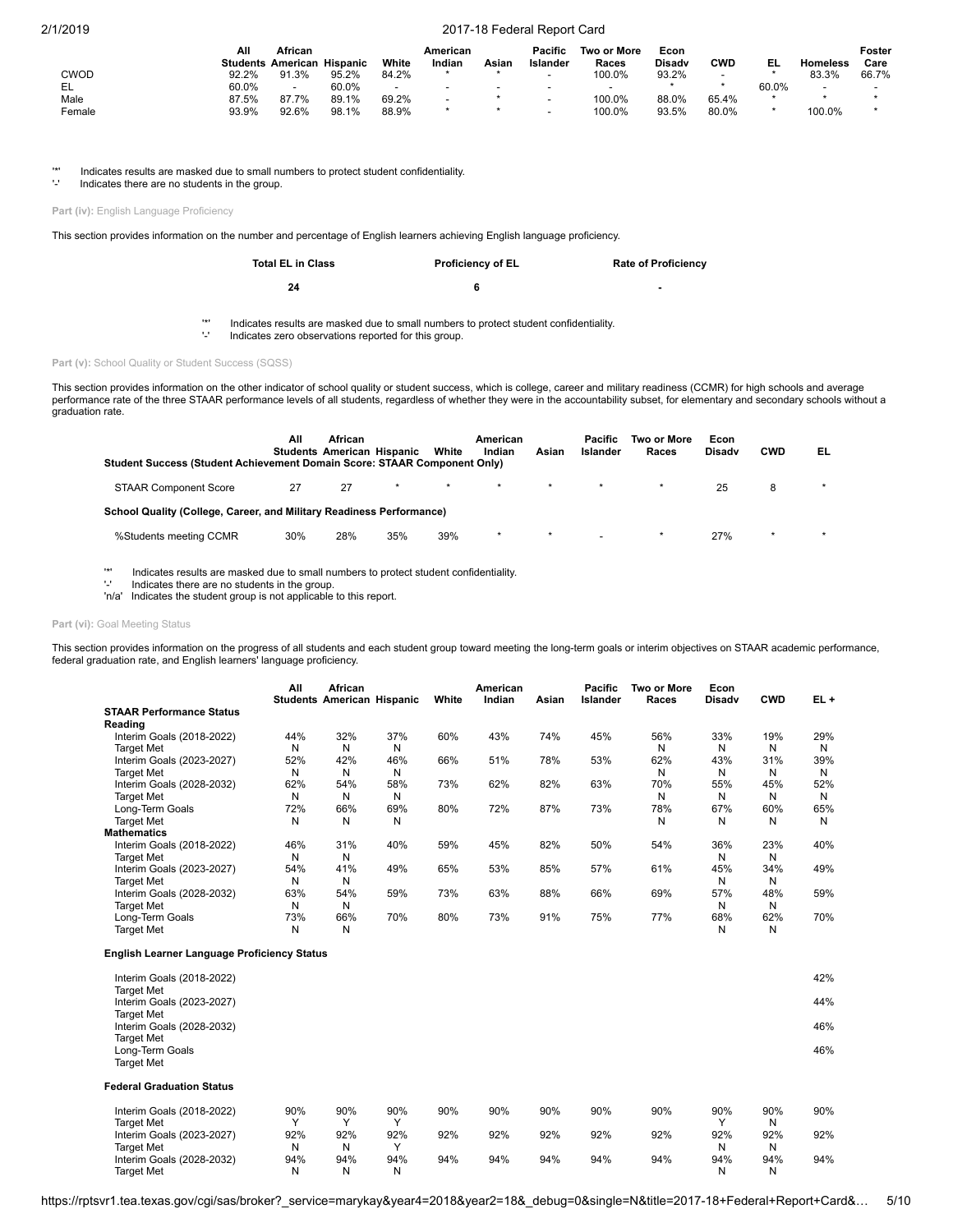|        | Αll   | African<br><b>Students American Hispanic</b> |       | White                    | American<br>Indian | Asian                    | Pacific<br>Islander | Two or More<br>Races | Econ<br><b>Disady</b> | CWD   | EL    | Homeless                 | Foster<br>Care |
|--------|-------|----------------------------------------------|-------|--------------------------|--------------------|--------------------------|---------------------|----------------------|-----------------------|-------|-------|--------------------------|----------------|
|        |       |                                              |       |                          |                    |                          |                     |                      |                       |       |       |                          |                |
| CWOD   | 92.2% | 91.3%                                        | 95.2% | 84.2%                    |                    |                          | -                   | 100.0%               | 93.2%                 |       |       | 83.3%                    | 66.7%          |
| EL     | 60.0% |                                              | 60.0% | $\overline{\phantom{0}}$ |                    | $\overline{\phantom{a}}$ | $\blacksquare$      |                      |                       |       | 60.0% | $\overline{\phantom{0}}$ |                |
| Male   | 87.5% | 87.7%                                        | 89.1% | 69.2%                    |                    |                          | -                   | 100.0%               | 88.0%                 | 65.4% |       |                          |                |
| Female | 93.9% | 92.6%                                        | 98.1% | 88.9%                    |                    |                          |                     | 100.0%               | 93.5%                 | 80.0% |       | 100.0%                   |                |

'\*' Indicates results are masked due to small numbers to protect student confidentiality.

Indicates there are no students in the group.

Part (iv): English Language Proficiency

This section provides information on the number and percentage of English learners achieving English language proficiency.

| <b>Total EL in Class</b> | <b>Proficiency of EL</b> | <b>Rate of Proficiency</b> |
|--------------------------|--------------------------|----------------------------|
| 24                       |                          | ۰                          |

'\*' Indicates results are masked due to small numbers to protect student confidentiality.

Indicates zero observations reported for this group.

Part (v): School Quality or Student Success (SQSS)

This section provides information on the other indicator of school quality or student success, which is college, career and military readiness (CCMR) for high schools and average performance rate of the three STAAR performance levels of all students, regardless of whether they were in the accountability subset, for elementary and secondary schools without a graduation rate.

| Student Success (Student Achievement Domain Score: STAAR Component Only) | Αll | African<br><b>Students American Hispanic</b> |         | White   | American<br>Indian | Asian   | Pacific<br>Islander | Two or More<br>Races | Econ<br><b>Disady</b> | <b>CWD</b> | EL      |
|--------------------------------------------------------------------------|-----|----------------------------------------------|---------|---------|--------------------|---------|---------------------|----------------------|-----------------------|------------|---------|
| <b>STAAR Component Score</b>                                             | 27  | 27                                           | $\star$ | $\star$ | $\star$            | $\star$ | $\star$             |                      | 25                    | 8          |         |
| School Quality (College, Career, and Military Readiness Performance)     |     |                                              |         |         |                    |         |                     |                      |                       |            |         |
| %Students meeting CCMR                                                   | 30% | 28%                                          | 35%     | 39%     | $\star$            | $\star$ |                     |                      | 27%                   | $\star$    | $\star$ |

'\*' Indicates results are masked due to small numbers to protect student confidentiality.

Indicates there are no students in the group.

'n/a' Indicates the student group is not applicable to this report.

#### Part (vi): Goal Meeting Status

This section provides information on the progress of all students and each student group toward meeting the long-term goals or interim objectives on STAAR academic performance, federal graduation rate, and English learners' language proficiency.

|                                 | All<br><b>Students</b> | African<br>American Hispanic |     | White | American<br>Indian | Asian | <b>Pacific</b><br>Islander | Two or More<br>Races | Econ<br><b>Disady</b> | <b>CWD</b> | $EL +$ |
|---------------------------------|------------------------|------------------------------|-----|-------|--------------------|-------|----------------------------|----------------------|-----------------------|------------|--------|
| <b>STAAR Performance Status</b> |                        |                              |     |       |                    |       |                            |                      |                       |            |        |
| Reading                         |                        |                              |     |       |                    |       |                            |                      |                       |            |        |
| Interim Goals (2018-2022)       | 44%                    | 32%                          | 37% | 60%   | 43%                | 74%   | 45%                        | 56%                  | 33%                   | 19%        | 29%    |
| <b>Target Met</b>               | N                      | N                            | N   |       |                    |       |                            | N                    | N                     | Ν          | N      |
| Interim Goals (2023-2027)       | 52%                    | 42%                          | 46% | 66%   | 51%                | 78%   | 53%                        | 62%                  | 43%                   | 31%        | 39%    |
| <b>Target Met</b>               | N                      | N                            | N   |       |                    |       |                            | Ν                    | N                     | N          | N      |
| Interim Goals (2028-2032)       | 62%                    | 54%                          | 58% | 73%   | 62%                | 82%   | 63%                        | 70%                  | 55%                   | 45%        | 52%    |
| <b>Target Met</b>               | N                      | N                            | N   |       |                    |       |                            | Ν                    | N                     | N          | N      |
| Long-Term Goals                 | 72%                    | 66%                          | 69% | 80%   | 72%                | 87%   | 73%                        | 78%                  | 67%                   | 60%        | 65%    |
| <b>Target Met</b>               | N                      | N                            | N   |       |                    |       |                            | N                    | N                     | N          | N      |
| <b>Mathematics</b>              |                        |                              |     |       |                    |       |                            |                      |                       |            |        |
| Interim Goals (2018-2022)       | 46%                    | 31%                          | 40% | 59%   | 45%                | 82%   | 50%                        | 54%                  | 36%                   | 23%        | 40%    |
| <b>Target Met</b>               | N                      | N                            |     |       |                    |       |                            |                      | N                     | N          |        |
| Interim Goals (2023-2027)       | 54%                    | 41%                          | 49% | 65%   | 53%                | 85%   | 57%                        | 61%                  | 45%                   | 34%        | 49%    |
| <b>Target Met</b>               | N                      | N                            |     |       |                    |       |                            |                      | N                     | N          |        |
| Interim Goals (2028-2032)       | 63%                    | 54%                          | 59% | 73%   | 63%                | 88%   | 66%                        | 69%                  | 57%                   | 48%        | 59%    |
| <b>Target Met</b>               | N                      | N                            |     |       |                    |       |                            |                      | N                     | N          |        |
| Long-Term Goals                 | 73%                    | 66%                          | 70% | 80%   | 73%                | 91%   | 75%                        | 77%                  | 68%                   | 62%        | 70%    |
| <b>Target Met</b>               | N                      | N                            |     |       |                    |       |                            |                      | N                     | N          |        |

#### **English Learner Language Proficiency Status**

| Interim Goals (2018-2022)<br><b>Target Met</b>                      |              |     |              |     |     |     |     |     |             |     | 42% |
|---------------------------------------------------------------------|--------------|-----|--------------|-----|-----|-----|-----|-----|-------------|-----|-----|
| Interim Goals (2023-2027)                                           |              |     |              |     |     |     |     |     |             |     | 44% |
| <b>Target Met</b><br>Interim Goals (2028-2032)<br><b>Target Met</b> |              |     |              |     |     |     |     |     |             |     | 46% |
| Long-Term Goals<br><b>Target Met</b>                                |              |     |              |     |     |     |     |     |             |     | 46% |
| <b>Federal Graduation Status</b>                                    |              |     |              |     |     |     |     |     |             |     |     |
| Interim Goals (2018-2022)                                           | 90%          | 90% | 90%          | 90% | 90% | 90% | 90% | 90% | 90%         | 90% | 90% |
| <b>Target Met</b>                                                   | $\checkmark$ | v   | $\checkmark$ |     |     |     |     |     | $\check{ }$ | N   |     |
| Interim Goals (2023-2027)                                           | 92%          | 92% | 92%          | 92% | 92% | 92% | 92% | 92% | 92%         | 92% | 92% |
| <b>Target Met</b>                                                   | N            | N   | $\check{ }$  |     |     |     |     |     | Ν           | N   |     |
| Interim Goals (2028-2032)                                           | 94%          | 94% | 94%          | 94% | 94% | 94% | 94% | 94% | 94%         | 94% | 94% |
| <b>Target Met</b>                                                   | N            | N   | N            |     |     |     |     |     | N           | N   |     |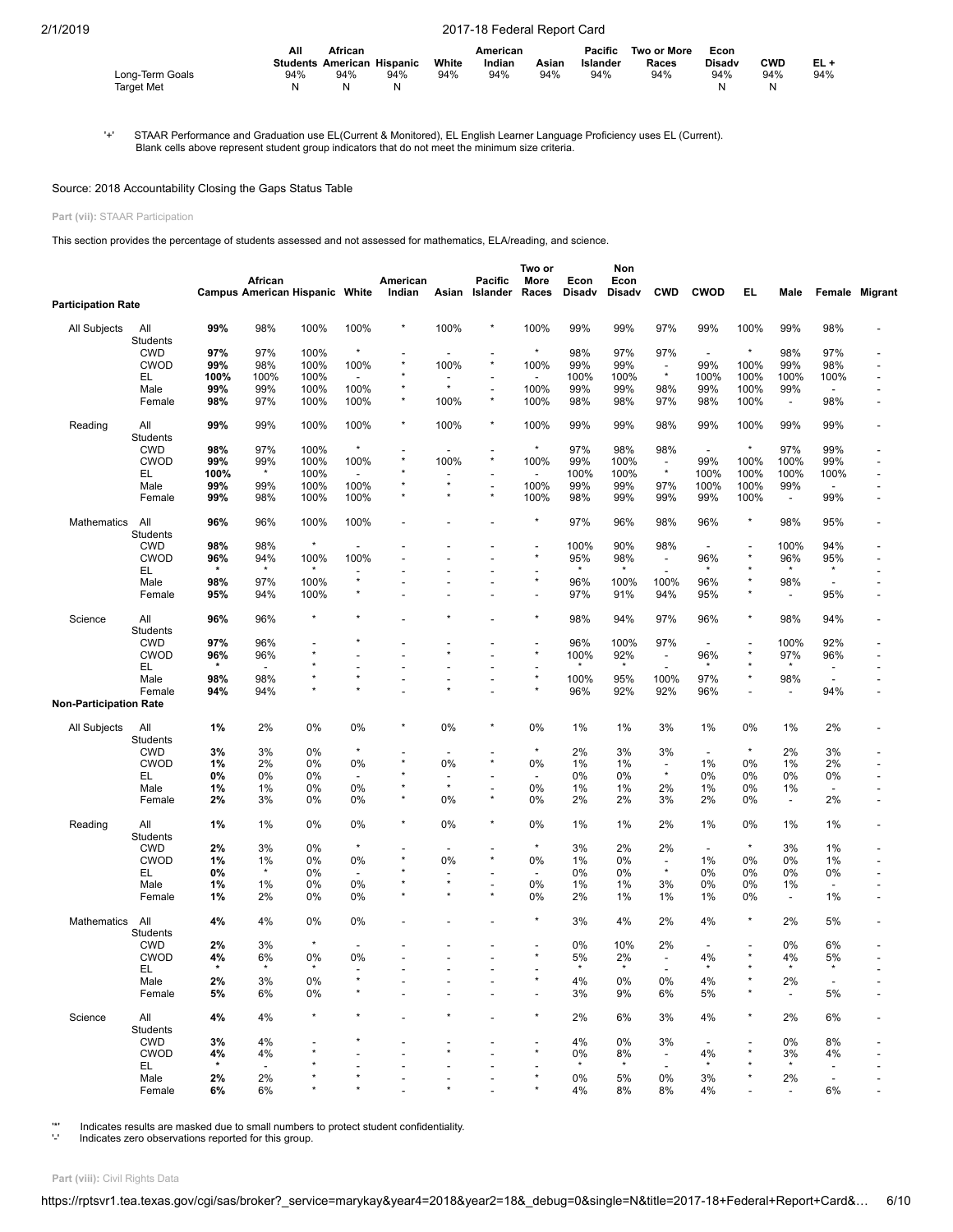|                   | Αll<br>African |                                   |     |       | American |       | Pacific  | Two or More | Econ          |            |     |
|-------------------|----------------|-----------------------------------|-----|-------|----------|-------|----------|-------------|---------------|------------|-----|
|                   |                | <b>Students American Hispanic</b> |     | White | Indian   | Asian | Islander | Races       | <b>Disadv</b> | <b>CWD</b> | EL+ |
| Long-Term Goals   | 94%            | 94%                               | 94% | 94%   | 94%      | 94%   | 94%      | 94%         | 94%           | 94%        | 94% |
| <b>Target Met</b> |                | N                                 |     |       |          |       |          |             | N             | N          |     |

'+' STAAR Performance and Graduation use EL(Current & Monitored), EL English Learner Language Proficiency uses EL (Current). Blank cells above represent student group indicators that do not meet the minimum size criteria.

## Source: 2018 Accountability Closing the Gaps Status Table

#### **Part (vii):** STAAR Participation

This section provides the percentage of students assessed and not assessed for mathematics, ELA/reading, and science.

|                               |                        |          | African                  | <b>Campus American Hispanic White</b> |                          | American<br>Indian | Asian                    | Pacific<br>Islander       | Two or<br>More<br>Races  | Econ<br><b>Disadv</b> | Non<br>Econ<br>Disadv | <b>CWD</b>                          | <b>CWOD</b>              | EL       | Male                           | Female                         | Migrant                      |
|-------------------------------|------------------------|----------|--------------------------|---------------------------------------|--------------------------|--------------------|--------------------------|---------------------------|--------------------------|-----------------------|-----------------------|-------------------------------------|--------------------------|----------|--------------------------------|--------------------------------|------------------------------|
| <b>Participation Rate</b>     |                        |          |                          |                                       |                          |                    |                          |                           |                          |                       |                       |                                     |                          |          |                                |                                |                              |
| All Subjects                  | All<br>Students        | 99%      | 98%                      | 100%                                  | 100%                     |                    | 100%                     | *                         | 100%                     | 99%                   | 99%                   | 97%                                 | 99%                      | 100%     | 99%                            | 98%                            |                              |
|                               | <b>CWD</b>             | 97%      | 97%                      | 100%                                  | $\star$                  |                    |                          |                           | $\star$                  | 98%                   | 97%                   | 97%                                 | $\blacksquare$           | $\star$  | 98%                            | 97%                            |                              |
|                               | <b>CWOD</b>            | 99%      | 98%                      | 100%                                  | 100%                     | $\star$            | 100%                     | $\star$                   | 100%                     | 99%                   | 99%                   | $\overline{\phantom{a}}$            | 99%                      | 100%     | 99%                            | 98%                            | ÷,                           |
|                               | EL                     | 100%     | 100%                     | 100%                                  |                          |                    |                          |                           |                          | 100%                  | 100%                  | $\star$                             | 100%                     | 100%     | 100%                           | 100%                           | L,                           |
|                               | Male                   | 99%      | 99%                      | 100%                                  | 100%                     |                    | $\star$                  |                           | 100%                     | 99%                   | 99%                   | 98%                                 | 99%                      | 100%     | 99%                            | $\overline{\phantom{a}}$       |                              |
|                               | Female                 | 98%      | 97%                      | 100%                                  | 100%                     |                    | 100%                     | $\star$                   | 100%                     | 98%                   | 98%                   | 97%                                 | 98%                      | 100%     | $\overline{\phantom{a}}$       | 98%                            |                              |
| Reading                       | All<br>Students        | 99%      | 99%                      | 100%                                  | 100%                     | $\star$            | 100%                     | $\star$                   | 100%                     | 99%                   | 99%                   | 98%                                 | 99%                      | 100%     | 99%                            | 99%                            |                              |
|                               | <b>CWD</b>             | 98%      | 97%                      | 100%                                  | $\star$                  |                    |                          | $\overline{a}$            | $\star$                  | 97%                   | 98%                   | 98%                                 | $\overline{\phantom{a}}$ | $\star$  | 97%                            | 99%                            |                              |
|                               | <b>CWOD</b>            | 99%      | 99%                      | 100%                                  | 100%                     |                    | 100%                     | $\star$                   | 100%                     | 99%                   | 100%                  | $\overline{\phantom{a}}$            | 99%                      | 100%     | 100%                           | 99%                            |                              |
|                               |                        |          | $\star$                  |                                       |                          |                    |                          |                           |                          |                       |                       | $^\star$                            |                          |          |                                |                                |                              |
|                               | EL                     | 100%     |                          | 100%                                  |                          |                    | $\star$                  |                           |                          | 100%                  | 100%                  |                                     | 100%                     | 100%     | 100%                           | 100%                           |                              |
|                               | Male                   | 99%      | 99%                      | 100%                                  | 100%                     |                    |                          | $\overline{a}$<br>$\star$ | 100%                     | 99%                   | 99%                   | 97%                                 | 100%                     | 100%     | 99%                            | $\overline{a}$                 |                              |
|                               | Female                 | 99%      | 98%                      | 100%                                  | 100%                     |                    |                          |                           | 100%                     | 98%                   | 99%                   | 99%                                 | 99%                      | 100%     | $\overline{\phantom{a}}$       | 99%                            |                              |
| Mathematics                   | All<br>Students        | 96%      | 96%                      | 100%                                  | 100%                     |                    |                          |                           |                          | 97%                   | 96%                   | 98%                                 | 96%                      | $\star$  | 98%                            | 95%                            |                              |
|                               | <b>CWD</b>             | 98%      | 98%                      | $\star$                               |                          |                    |                          |                           |                          | 100%                  | 90%                   | 98%                                 |                          |          | 100%                           | 94%                            |                              |
|                               | <b>CWOD</b>            | 96%      | 94%                      | 100%                                  | 100%                     |                    |                          |                           |                          | 95%                   | 98%                   | $\overline{\phantom{a}}$            | 96%                      |          | 96%                            | 95%                            |                              |
|                               | EL                     | $\star$  | $\star$                  |                                       |                          |                    |                          |                           |                          | $\star$               | $\star$               | $\overline{\phantom{a}}$            | $\star$                  |          | $\star$                        | $\star$                        |                              |
|                               | Male                   | 98%      | 97%                      | 100%                                  | $\star$                  |                    |                          |                           | $\star$                  | 96%                   | 100%                  | 100%                                | 96%                      |          | 98%                            | $\overline{\phantom{a}}$       |                              |
|                               | Female                 | 95%      | 94%                      | 100%                                  |                          |                    |                          |                           |                          | 97%                   | 91%                   | 94%                                 | 95%                      |          | $\overline{a}$                 | 95%                            |                              |
| Science                       | All<br>Students        | 96%      | 96%                      | ٨                                     |                          |                    |                          |                           |                          | 98%                   | 94%                   | 97%                                 | 96%                      | $\star$  | 98%                            | 94%                            |                              |
|                               | <b>CWD</b>             | 97%      | 96%                      |                                       |                          |                    |                          |                           |                          | 96%                   | 100%                  | 97%                                 | $\overline{\phantom{a}}$ |          | 100%                           | 92%                            |                              |
|                               | <b>CWOD</b>            | 96%      | 96%                      |                                       |                          |                    |                          |                           | $\star$                  | 100%                  | 92%                   | $\overline{\phantom{a}}$            | 96%                      | $\star$  | 97%                            | 96%                            |                              |
|                               | EL                     |          |                          |                                       |                          |                    |                          |                           | $\overline{\phantom{a}}$ |                       | $\star$               | $\overline{\phantom{a}}$            | $\star$                  |          |                                | $\overline{\phantom{a}}$       |                              |
|                               | Male                   | 98%      | 98%                      |                                       |                          |                    | $\overline{\phantom{a}}$ | $\overline{a}$            | $\star$                  | 100%                  | 95%                   | 100%                                | 97%                      |          | 98%                            | $\overline{\phantom{a}}$       |                              |
|                               | Female                 | 94%      | 94%                      |                                       |                          |                    |                          |                           | $\star$                  | 96%                   | 92%                   | 92%                                 | 96%                      |          | $\overline{a}$                 | 94%                            |                              |
| <b>Non-Participation Rate</b> |                        |          |                          |                                       |                          |                    |                          |                           |                          |                       |                       |                                     |                          |          |                                |                                |                              |
| All Subjects                  | All<br>Students        | 1%       | 2%                       | 0%                                    | 0%                       |                    | 0%                       |                           | 0%                       | 1%                    | 1%                    | 3%                                  | $1\%$                    | 0%       | 1%                             | 2%                             |                              |
|                               | <b>CWD</b>             | 3%       | 3%                       | 0%                                    | $\star$                  |                    |                          |                           | $\star$                  | 2%                    | 3%                    | 3%                                  | $\overline{\phantom{a}}$ | $\star$  | 2%                             | 3%                             |                              |
|                               | <b>CWOD</b>            | 1%       | 2%                       | 0%                                    | 0%                       |                    | 0%                       | $\star$                   | 0%                       | 1%                    | 1%                    | $\overline{\phantom{a}}$            | 1%                       | 0%       | 1%                             | 2%                             | $\overline{a}$               |
|                               | EL                     | 0%       | 0%                       | 0%                                    | $\overline{\phantom{a}}$ |                    | $\overline{a}$           |                           | $\overline{\phantom{a}}$ | 0%                    | 0%                    | $\star$                             | 0%                       | 0%       | 0%                             | 0%                             |                              |
|                               | Male                   | 1%       | 1%                       | 0%                                    | 0%                       |                    | $\star$                  | $\overline{\phantom{a}}$  | 0%                       | 1%                    | 1%                    | 2%                                  | $1\%$                    | 0%       | 1%                             |                                |                              |
|                               | Female                 | 2%       | 3%                       | 0%                                    | 0%                       |                    | 0%                       | $\star$                   | 0%                       | 2%                    | 2%                    | 3%                                  | 2%                       | 0%       | $\overline{\phantom{a}}$       | 2%                             |                              |
| Reading                       | All                    | 1%       | 1%                       | 0%                                    | 0%                       |                    | 0%                       | *                         | 0%                       | 1%                    | 1%                    | 2%                                  | 1%                       | 0%       | 1%                             | 1%                             |                              |
|                               | Students<br><b>CWD</b> |          | 3%                       | 0%                                    |                          |                    |                          |                           | $\star$                  | 3%                    | 2%                    | 2%                                  |                          | $^\star$ | 3%                             | 1%                             |                              |
|                               |                        | 2%       |                          |                                       | 0%                       |                    | 0%                       | $\star$                   | 0%                       |                       | 0%                    |                                     | $\overline{\phantom{a}}$ | 0%       |                                |                                |                              |
|                               | <b>CWOD</b>            | 1%       | 1%<br>$\star$            | 0%                                    |                          |                    |                          |                           |                          | 1%                    |                       | $\overline{\phantom{a}}$<br>$\star$ | 1%                       |          | 0%                             | 1%                             |                              |
|                               | EL                     | 0%       |                          | 0%                                    |                          |                    | $\star$                  |                           | $\overline{\phantom{a}}$ | 0%                    | 0%                    |                                     | 0%                       | 0%       | 0%                             | 0%                             |                              |
|                               | Male<br>Female         | 1%<br>1% | 1%<br>2%                 | 0%<br>0%                              | 0%<br>0%                 |                    |                          | $\overline{a}$<br>$\star$ | 0%<br>0%                 | 1%<br>2%              | 1%<br>1%              | 3%<br>1%                            | 0%<br>1%                 | 0%<br>0% | 1%<br>$\overline{\phantom{a}}$ | $\overline{\phantom{a}}$<br>1% |                              |
| Mathematics                   | All                    | 4%       | 4%                       | 0%                                    | 0%                       |                    |                          |                           |                          | 3%                    | 4%                    | 2%                                  | 4%                       | $\star$  | 2%                             | 5%                             |                              |
|                               | Students               |          |                          |                                       |                          |                    |                          |                           |                          |                       |                       |                                     |                          |          |                                |                                |                              |
|                               | <b>CWD</b>             | 2%       | 3%                       | $\star$                               |                          |                    |                          |                           |                          | 0%                    | 10%                   | 2%                                  |                          |          | 0%                             | 6%                             |                              |
|                               | <b>CWOD</b>            | 4%       | 6%                       | 0%                                    | 0%                       |                    |                          |                           |                          | 5%                    | 2%                    |                                     | 4%                       |          | 4%                             | 5%                             |                              |
|                               | EL.                    | $\star$  | $\star$                  | $\star$                               |                          |                    |                          |                           |                          | $\star$               | $\star$               | $\overline{\phantom{a}}$            | $\star$                  |          | $\star$                        | $\star$                        |                              |
|                               | Male                   | 2%       | 3%                       | 0%                                    |                          |                    |                          |                           |                          | 4%                    | 0%                    | 0%                                  | 4%                       |          | 2%                             |                                |                              |
|                               | Female                 | 5%       | 6%                       | 0%                                    |                          |                    |                          |                           |                          | 3%                    | 9%                    | 6%                                  | 5%                       |          | $\blacksquare$                 | 5%                             |                              |
| Science                       | All<br>Students        | 4%       | 4%                       | $\star$                               |                          |                    |                          |                           |                          | 2%                    | 6%                    | 3%                                  | 4%                       | $\star$  | 2%                             | 6%                             |                              |
|                               | <b>CWD</b>             | 3%       | 4%                       |                                       |                          |                    |                          |                           |                          | 4%                    | 0%                    | 3%                                  |                          |          | 0%                             | 8%                             |                              |
|                               | CWOD                   | 4%       | 4%                       |                                       |                          |                    |                          |                           |                          | 0%                    | 8%                    | $\overline{\phantom{a}}$            | 4%                       |          | 3%                             | 4%                             | -                            |
|                               | EL.                    | $\star$  | $\overline{\phantom{a}}$ |                                       |                          |                    |                          |                           |                          | $\star$               | $\star$               | $\overline{\phantom{a}}$            | $\star$                  |          | $\star$                        |                                |                              |
|                               | Male                   | 2%       | 2%                       |                                       |                          |                    |                          |                           |                          | 0%                    | 5%                    | 0%                                  | 3%                       |          | 2%                             |                                |                              |
|                               | Female                 | 6%       | 6%                       |                                       |                          |                    |                          |                           |                          | 4%                    | 8%                    | 8%                                  | 4%                       |          |                                | 6%                             | $\qquad \qquad \blacksquare$ |

'\*' Indicates results are masked due to small numbers to protect student confidentiality. '-' Indicates zero observations reported for this group.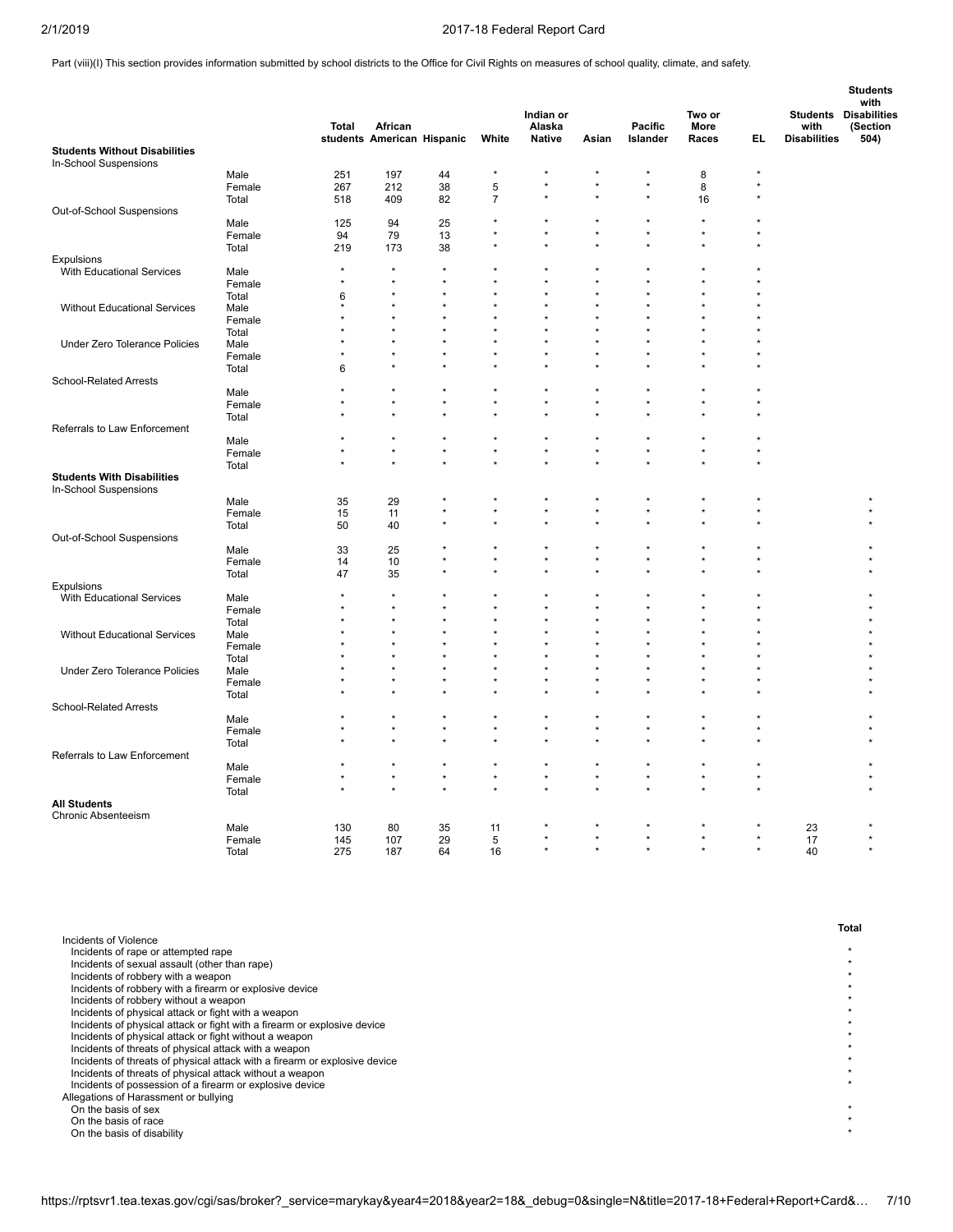Part (viii)(I) This section provides information submitted by school districts to the Office for Civil Rights on measures of school quality, climate, and safety.

|                                                               |                |              |                                       |         |                | Indian or               |         |                     | Two or        |         | <b>Students Disabilities</b> | <b>Students</b><br>with |
|---------------------------------------------------------------|----------------|--------------|---------------------------------------|---------|----------------|-------------------------|---------|---------------------|---------------|---------|------------------------------|-------------------------|
|                                                               |                | Total        | African<br>students American Hispanic |         | White          | Alaska<br><b>Native</b> | Asian   | Pacific<br>Islander | More<br>Races | EL.     | with<br><b>Disabilities</b>  | (Section<br>504)        |
| <b>Students Without Disabilities</b><br>In-School Suspensions |                |              |                                       |         |                |                         |         |                     |               |         |                              |                         |
|                                                               | Male           | 251          | 197                                   | 44      | $\star$        |                         |         |                     | 8             | ×       |                              |                         |
|                                                               | Female         | 267          | 212                                   | 38      | 5              | $\star$                 |         | $\star$             | 8             | $\star$ |                              |                         |
|                                                               | Total          | 518          | 409                                   | 82      | $\overline{7}$ |                         |         |                     | 16            |         |                              |                         |
| Out-of-School Suspensions                                     |                |              |                                       |         |                |                         |         |                     |               |         |                              |                         |
|                                                               | Male           | 125          | 94                                    | 25      | $\star$        | $\star$                 |         |                     | ×             |         |                              |                         |
|                                                               | Female         | 94           | 79                                    | 13      |                |                         |         |                     |               |         |                              |                         |
|                                                               | Total          | 219          | 173                                   | 38      |                |                         |         |                     |               |         |                              |                         |
| Expulsions                                                    |                | $\star$      | $\star$                               | $\star$ |                |                         |         |                     |               |         |                              |                         |
| With Educational Services                                     | Male           | $\star$      | $\star$                               | $\star$ |                | $\star$                 |         |                     |               |         |                              |                         |
|                                                               | Female         |              |                                       |         |                |                         |         |                     |               |         |                              |                         |
|                                                               | Total          | 6<br>$\star$ | $\star$                               | ÷       |                | $\star$                 | $\star$ |                     |               |         |                              |                         |
| Without Educational Services                                  | Male<br>Female |              | $\star$                               |         |                |                         |         |                     |               |         |                              |                         |
|                                                               | Total          |              |                                       |         |                |                         |         |                     |               |         |                              |                         |
| Under Zero Tolerance Policies                                 | Male           |              |                                       |         |                |                         |         |                     |               |         |                              |                         |
|                                                               | Female         |              | $\star$                               |         |                | $\star$                 |         |                     |               |         |                              |                         |
|                                                               | Total          | 6            |                                       |         |                |                         |         |                     |               |         |                              |                         |
| <b>School-Related Arrests</b>                                 |                |              |                                       |         |                |                         |         |                     |               |         |                              |                         |
|                                                               | Male           |              | $\star$                               | $\star$ | ÷              | $\star$                 |         |                     |               |         |                              |                         |
|                                                               | Female         |              |                                       | $\star$ | $\star$        | $\star$                 |         |                     |               |         |                              |                         |
|                                                               | Total          |              |                                       |         |                | ÷                       |         |                     | ÷             |         |                              |                         |
| Referrals to Law Enforcement                                  |                |              |                                       |         |                |                         |         |                     |               |         |                              |                         |
|                                                               | Male           |              |                                       |         | $\star$        |                         |         |                     |               |         |                              |                         |
|                                                               | Female         | $\star$      | $\star$                               | $\star$ | $\star$        | $\star$                 |         |                     | ×             |         |                              |                         |
|                                                               | Total          |              | $\star$                               | $\star$ | ÷              | $\star$                 |         |                     | ÷             |         |                              |                         |
| <b>Students With Disabilities</b><br>In-School Suspensions    |                |              |                                       |         |                |                         |         |                     |               |         |                              |                         |
|                                                               | Male           | 35           | 29                                    |         | $\star$        | $\star$                 |         |                     | ×             |         |                              |                         |
|                                                               | Female         | 15           | 11                                    | $\star$ | $\star$        | $\star$                 |         |                     | ÷             |         |                              |                         |
|                                                               | Total          | 50           | 40                                    |         |                |                         |         |                     |               |         |                              |                         |
| Out-of-School Suspensions                                     |                |              |                                       |         |                |                         |         |                     |               |         |                              |                         |
|                                                               | Male           | 33           | 25                                    |         |                |                         |         |                     | ÷             |         |                              |                         |
|                                                               | Female         | 14           | 10                                    |         | $\star$        | $\star$<br>÷            |         |                     | ×             |         |                              |                         |
|                                                               | Total          | 47           | 35                                    |         |                |                         |         |                     |               |         |                              |                         |
| <b>Expulsions</b>                                             |                | $\star$      | $\star$                               |         |                |                         |         |                     |               |         |                              |                         |
| With Educational Services                                     | Male           |              | $\star$                               |         |                |                         |         |                     |               |         |                              |                         |
|                                                               | Female         |              | $\star$                               | $\star$ |                | $\star$                 | $\star$ |                     | ÷             |         |                              |                         |
|                                                               | Total          |              | $\star$                               |         |                |                         |         |                     |               |         |                              |                         |
| Without Educational Services                                  | Male           |              |                                       |         |                |                         |         |                     |               |         |                              |                         |
|                                                               | Female         |              |                                       |         |                |                         |         |                     |               |         |                              |                         |
|                                                               | Total<br>Male  |              | $\star$                               | $\star$ |                | $\star$                 |         |                     |               |         |                              |                         |
| Under Zero Tolerance Policies                                 | Female         |              |                                       |         |                | $\star$                 |         |                     |               |         |                              |                         |
|                                                               | Total          |              |                                       |         |                | $\star$                 |         |                     |               |         |                              |                         |
| School-Related Arrests                                        |                |              |                                       |         |                |                         |         |                     |               |         |                              |                         |
|                                                               | Male           |              |                                       |         |                |                         |         |                     |               |         |                              |                         |
|                                                               | Female         | $\star$      |                                       | $\star$ | $\star$        | $\star$                 |         |                     | ×             |         |                              |                         |
|                                                               | Total          |              |                                       |         |                | $\ddot{\phantom{0}}$    |         |                     |               |         |                              |                         |
| Referrals to Law Enforcement                                  |                |              |                                       |         |                |                         |         |                     |               |         |                              |                         |
|                                                               | Male           |              |                                       |         | $\star$        | $\star$                 |         |                     | $\star$       |         |                              |                         |
|                                                               | Female         |              |                                       | $\star$ | $\star$        | $\star$                 |         |                     | ÷             |         |                              |                         |
|                                                               | Total          |              |                                       |         |                |                         |         |                     |               |         |                              |                         |
| <b>All Students</b>                                           |                |              |                                       |         |                |                         |         |                     |               |         |                              |                         |
| <b>Chronic Absenteeism</b>                                    |                |              |                                       |         |                |                         |         |                     |               |         |                              |                         |
|                                                               | Male           | 130          | 80                                    | 35      | 11             |                         |         |                     |               |         | 23                           |                         |
|                                                               | Female         | 145          | 107                                   | 29      | 5              | $\star$                 | $\star$ | $\star$             | $\star$       | $\star$ | 17                           |                         |
|                                                               | Total          | 275          | 187                                   | 64      | 16             |                         |         |                     |               |         | 40                           |                         |

|                                                                            | Total |
|----------------------------------------------------------------------------|-------|
| Incidents of Violence                                                      |       |
| Incidents of rape or attempted rape                                        |       |
| Incidents of sexual assault (other than rape)                              |       |
| Incidents of robbery with a weapon                                         |       |
| Incidents of robbery with a firearm or explosive device                    |       |
| Incidents of robbery without a weapon                                      |       |
| Incidents of physical attack or fight with a weapon                        |       |
| Incidents of physical attack or fight with a firearm or explosive device   |       |
| Incidents of physical attack or fight without a weapon                     |       |
| Incidents of threats of physical attack with a weapon                      |       |
| Incidents of threats of physical attack with a firearm or explosive device |       |
| Incidents of threats of physical attack without a weapon                   |       |
| Incidents of possession of a firearm or explosive device                   |       |
| Allegations of Harassment or bullying                                      |       |
| On the basis of sex                                                        |       |
| On the basis of race                                                       |       |
| On the basis of disability                                                 |       |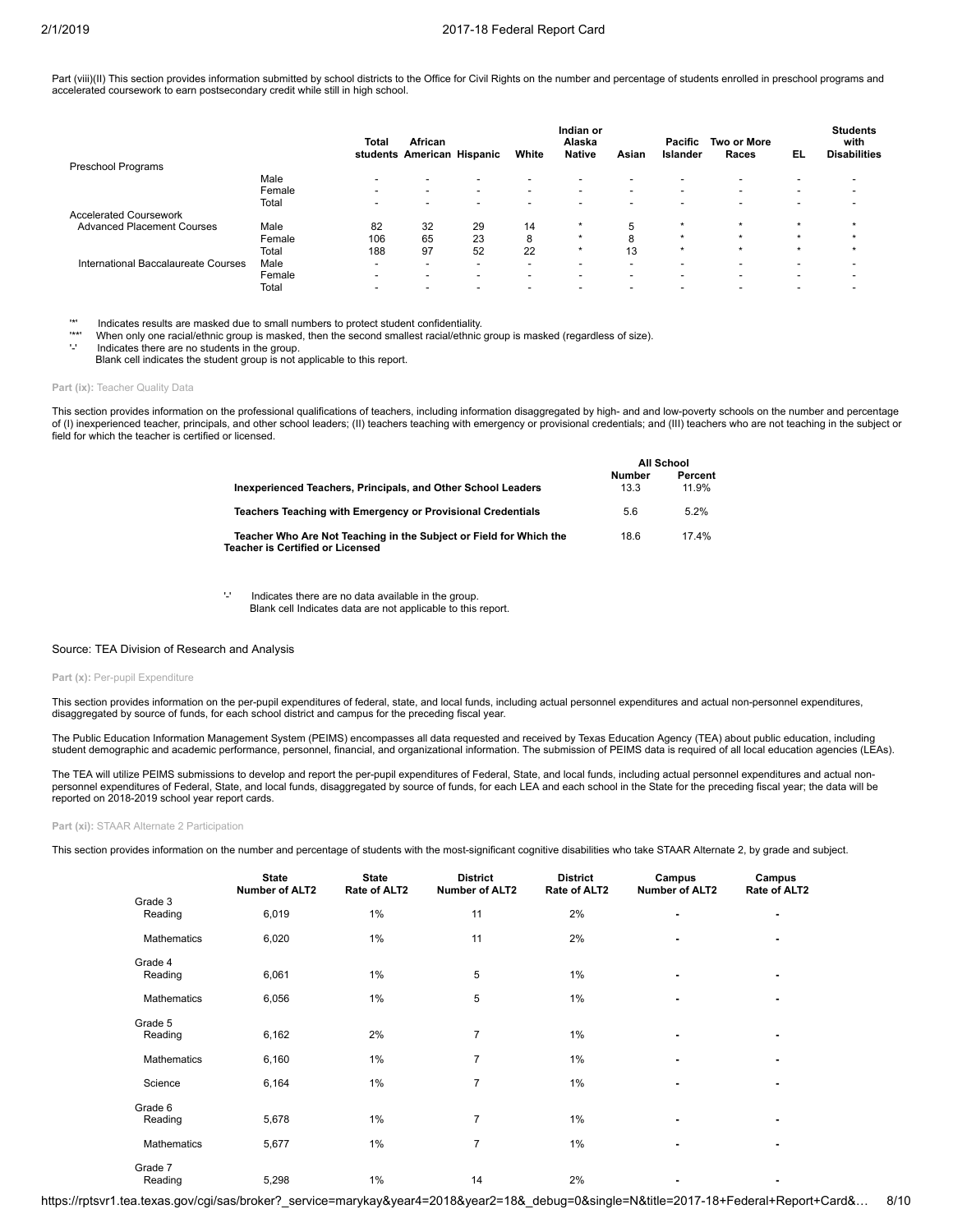Part (viii)(II) This section provides information submitted by school districts to the Office for Civil Rights on the number and percentage of students enrolled in preschool programs and accelerated coursework to earn postsecondary credit while still in high school.

|                                     |        | Total                    | African<br>students American Hispanic |                          | White                    | Indian or<br>Alaska<br><b>Native</b> | Asian                    | Pacific<br>Islander      | <b>Two or More</b><br>Races | EL                       | <b>Students</b><br>with<br><b>Disabilities</b> |
|-------------------------------------|--------|--------------------------|---------------------------------------|--------------------------|--------------------------|--------------------------------------|--------------------------|--------------------------|-----------------------------|--------------------------|------------------------------------------------|
| Preschool Programs                  |        |                          |                                       |                          |                          |                                      |                          |                          |                             |                          |                                                |
|                                     | Male   | $\overline{\phantom{a}}$ | $\blacksquare$                        | $\overline{\phantom{0}}$ | $\overline{\phantom{a}}$ | $\overline{\phantom{0}}$             | -                        | $\overline{\phantom{a}}$ | $\overline{\phantom{a}}$    | $\overline{\phantom{0}}$ |                                                |
|                                     | Female | $\overline{\phantom{0}}$ | $\overline{\phantom{a}}$              | $\overline{\phantom{0}}$ | $\overline{\phantom{0}}$ | $\overline{\phantom{a}}$             | -                        | $\overline{\phantom{0}}$ | $\overline{\phantom{0}}$    | $\sim$                   |                                                |
|                                     | Total  | $\blacksquare$           | -                                     | $\overline{\phantom{0}}$ | $\overline{\phantom{0}}$ | $\overline{\phantom{0}}$             | $\overline{\phantom{0}}$ | $\overline{\phantom{0}}$ | $\overline{\phantom{0}}$    | $\overline{\phantom{0}}$ |                                                |
| <b>Accelerated Coursework</b>       |        |                          |                                       |                          |                          |                                      |                          |                          |                             |                          |                                                |
| <b>Advanced Placement Courses</b>   | Male   | 82                       | 32                                    | 29                       | 14                       | $\star$                              |                          | $\star$                  | $\star$                     | $\star$                  |                                                |
|                                     | Female | 106                      | 65                                    | 23                       | 8                        | $\star$                              | 8                        | $\star$                  | $\star$                     | $\star$                  |                                                |
|                                     | Total  | 188                      | 97                                    | 52                       | 22                       | $\star$                              | 13                       | $\star$                  | $\star$                     | $\star$                  |                                                |
| International Baccalaureate Courses | Male   | $\overline{\phantom{a}}$ | -                                     | $\overline{\phantom{0}}$ | $\overline{\phantom{0}}$ | $\overline{\phantom{0}}$             | -                        | $\overline{\phantom{0}}$ | $\overline{\phantom{0}}$    |                          |                                                |
|                                     | Female | -                        | -                                     | $\overline{\phantom{0}}$ | $\overline{\phantom{0}}$ | $\overline{\phantom{0}}$             | $\overline{\phantom{0}}$ | $\overline{\phantom{a}}$ | $\overline{\phantom{0}}$    | $\overline{\phantom{0}}$ |                                                |
|                                     | Total  |                          |                                       |                          |                          |                                      |                          |                          |                             |                          |                                                |

'\*' Indicates results are masked due to small numbers to protect student confidentiality.

\*\*' When only one racial/ethnic group is masked, then the second smallest racial/ethnic group is masked (regardless of size).<br>'.' Indicates there are no students in the group.

Indicates there are no students in the group.

Blank cell indicates the student group is not applicable to this report.

#### **Part (ix): Teacher Quality Data**

This section provides information on the professional qualifications of teachers, including information disaggregated by high- and and low-poverty schools on the number and percentage of (I) inexperienced teacher, principals, and other school leaders; (II) teachers teaching with emergency or provisional credentials; and (III) teachers who are not teaching in the subject or field for which the teacher is certified or licensed.

**All School**

|                                                                                                        |                       | AII SCNOOL       |
|--------------------------------------------------------------------------------------------------------|-----------------------|------------------|
| Inexperienced Teachers, Principals, and Other School Leaders                                           | <b>Number</b><br>13.3 | Percent<br>11.9% |
| Teachers Teaching with Emergency or Provisional Credentials                                            | 5.6                   | 52%              |
| Teacher Who Are Not Teaching in the Subject or Field for Which the<br>Teacher is Certified or Licensed | 18.6                  | 174%             |

'-' Indicates there are no data available in the group. Blank cell Indicates data are not applicable to this report.

#### Source: TEA Division of Research and Analysis

#### Part (x): Per-pupil Expenditure

This section provides information on the per-pupil expenditures of federal, state, and local funds, including actual personnel expenditures and actual non-personnel expenditures, disaggregated by source of funds, for each school district and campus for the preceding fiscal year.

The Public Education Information Management System (PEIMS) encompasses all data requested and received by Texas Education Agency (TEA) about public education, including student demographic and academic performance, personnel, financial, and organizational information. The submission of PEIMS data is required of all local education agencies (LEAs).

The TEA will utilize PEIMS submissions to develop and report the per-pupil expenditures of Federal, State, and local funds, including actual personnel expenditures and actual nonpersonnel expenditures of Federal, State, and local funds, disaggregated by source of funds, for each LEA and each school in the State for the preceding fiscal year; the data will be reported on 2018-2019 school year report cards.

**Part (xi):** STAAR Alternate 2 Participation

This section provides information on the number and percentage of students with the most-significant cognitive disabilities who take STAAR Alternate 2, by grade and subject.

|                    | <b>State</b><br><b>Number of ALT2</b> | <b>State</b><br>Rate of ALT2 | <b>District</b><br><b>Number of ALT2</b> | <b>District</b><br>Rate of ALT2 | Campus<br><b>Number of ALT2</b> | Campus<br>Rate of ALT2 |
|--------------------|---------------------------------------|------------------------------|------------------------------------------|---------------------------------|---------------------------------|------------------------|
| Grade 3<br>Reading | 6,019                                 | 1%                           | 11                                       | 2%                              |                                 | ۰                      |
|                    |                                       |                              |                                          | 2%                              |                                 |                        |
| <b>Mathematics</b> | 6,020                                 | 1%                           | 11                                       |                                 | ۰                               | ٠                      |
| Grade 4<br>Reading | 6,061                                 | 1%                           | 5                                        | 1%                              |                                 | ۰                      |
| <b>Mathematics</b> | 6,056                                 | 1%                           | 5                                        | $1\%$                           |                                 |                        |
| Grade 5<br>Reading | 6,162                                 | 2%                           | $\overline{7}$                           | 1%                              |                                 | ۰                      |
| Mathematics        | 6,160                                 | 1%                           | $\overline{7}$                           | $1\%$                           |                                 | ۰                      |
| Science            | 6,164                                 | 1%                           | $\overline{7}$                           | 1%                              |                                 |                        |
| Grade 6<br>Reading | 5,678                                 | 1%                           | $\overline{7}$                           | $1\%$                           | ٠                               | ۰                      |
| <b>Mathematics</b> | 5,677                                 | 1%                           | $\overline{7}$                           | $1\%$                           |                                 |                        |
| Grade 7<br>Reading | 5,298                                 | 1%                           | 14                                       | 2%                              |                                 | ٠                      |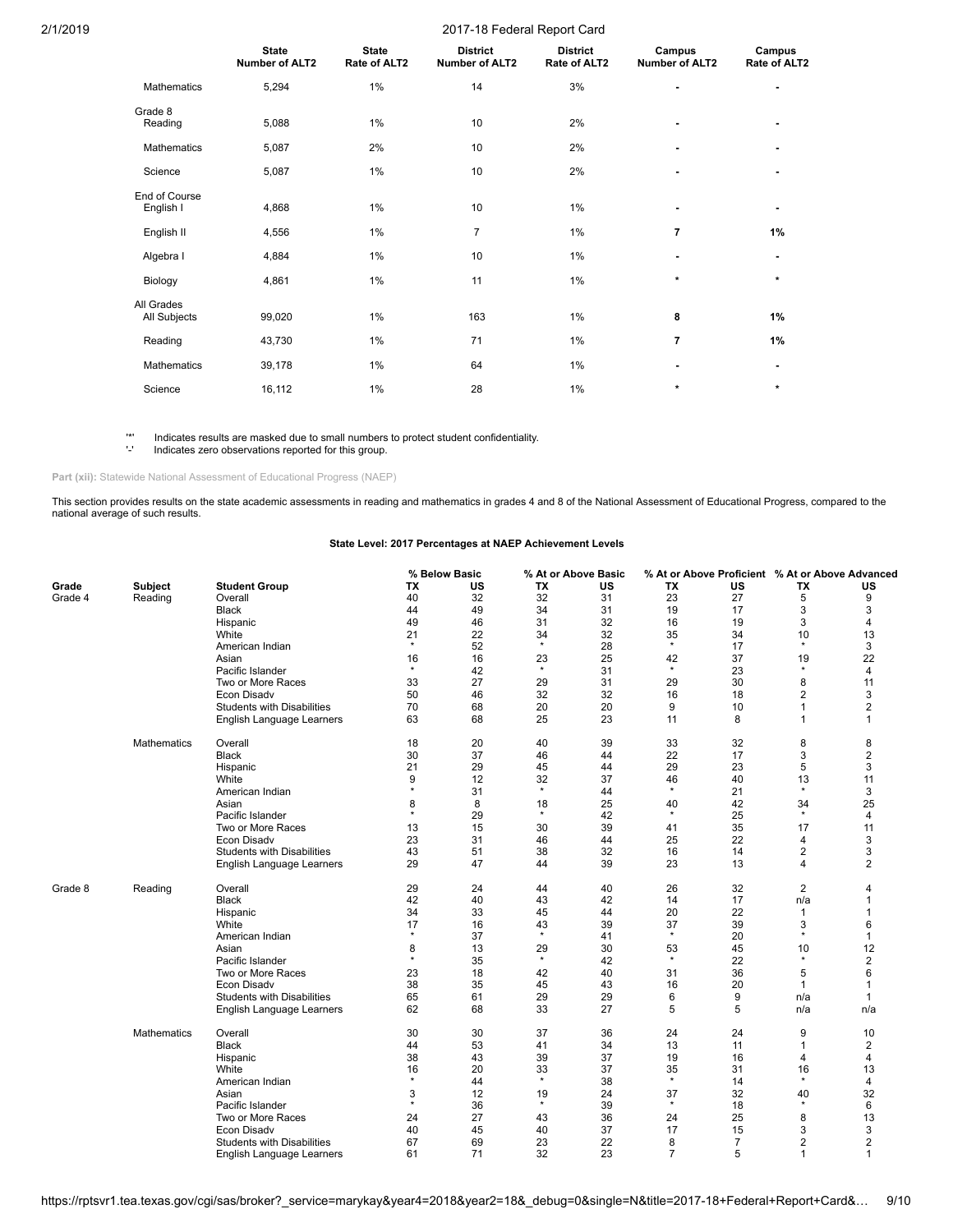|                            | <b>State</b><br><b>Number of ALT2</b> | <b>State</b><br>Rate of ALT2 | <b>District</b><br><b>Number of ALT2</b> | <b>District</b><br>Rate of ALT2 | Campus<br><b>Number of ALT2</b> | Campus<br>Rate of ALT2 |
|----------------------------|---------------------------------------|------------------------------|------------------------------------------|---------------------------------|---------------------------------|------------------------|
| <b>Mathematics</b>         | 5,294                                 | 1%                           | 14                                       | 3%                              | ٠                               |                        |
| Grade 8<br>Reading         | 5,088                                 | 1%                           | 10                                       | 2%                              |                                 |                        |
| <b>Mathematics</b>         | 5,087                                 | 2%                           | 10                                       | 2%                              |                                 |                        |
| Science                    | 5,087                                 | 1%                           | 10                                       | 2%                              |                                 |                        |
| End of Course<br>English I | 4,868                                 | 1%                           | 10                                       | 1%                              | ۰                               | ۰                      |
| English II                 | 4,556                                 | 1%                           | $\overline{7}$                           | 1%                              | $\overline{7}$                  | 1%                     |
| Algebra I                  | 4,884                                 | 1%                           | 10                                       | 1%                              | ۰                               |                        |
| Biology                    | 4,861                                 | 1%                           | 11                                       | 1%                              | $\star$                         | $\star$                |
| All Grades<br>All Subjects | 99,020                                | 1%                           | 163                                      | 1%                              | 8                               | 1%                     |
| Reading                    | 43,730                                | 1%                           | 71                                       | 1%                              | $\overline{7}$                  | 1%                     |
| Mathematics                | 39,178                                | 1%                           | 64                                       | 1%                              | ٠                               | ۰                      |
| Science                    | 16,112                                | 1%                           | 28                                       | 1%                              | *                               | $\star$                |

'\*' Indicates results are masked due to small numbers to protect student confidentiality.

Indicates zero observations reported for this group.

Part (xii): Statewide National Assessment of Educational Progress (NAEP)

This section provides results on the state academic assessments in reading and mathematics in grades 4 and 8 of the National Assessment of Educational Progress, compared to the national average of such results.

## **State Level: 2017 Percentages at NAEP Achievement Levels**

|         |                    |                                   |         | % Below Basic |         | % At or Above Basic |                | % At or Above Proficient % At or Above Advanced |                |                |
|---------|--------------------|-----------------------------------|---------|---------------|---------|---------------------|----------------|-------------------------------------------------|----------------|----------------|
| Grade   | Subject            | <b>Student Group</b>              | ТX      | US            | TX      | US                  | ΤХ             | US                                              | ΤХ             | US             |
| Grade 4 | Reading            | Overall                           | 40      | 32            | 32      | 31                  | 23             | 27                                              | 5              | 9              |
|         |                    | <b>Black</b>                      | 44      | 49            | 34      | 31                  | 19             | 17                                              | 3              | 3              |
|         |                    | Hispanic                          | 49      | 46            | 31      | 32                  | 16             | 19                                              | 3              | 4              |
|         |                    | White                             | 21      | 22            | 34      | 32                  | 35             | 34                                              | 10             | 13             |
|         |                    | American Indian                   | $\star$ | 52            | $\star$ | 28                  | $\star$        | 17                                              | $\star$        | 3              |
|         |                    | Asian                             | 16      | 16            | 23      | 25                  | 42             | 37                                              | 19             | 22             |
|         |                    | Pacific Islander                  | $\star$ | 42            | $\star$ | 31                  | $\star$        | 23                                              | $\star$        | 4              |
|         |                    | Two or More Races                 | 33      | 27            | 29      | 31                  | 29             | 30                                              | 8              | 11             |
|         |                    | Econ Disady                       | 50      | 46            | 32      | 32                  | 16             | 18                                              | $\overline{2}$ | 3              |
|         |                    | <b>Students with Disabilities</b> | 70      | 68            | 20      | 20                  | 9              | 10                                              | $\mathbf{1}$   | 2              |
|         |                    | English Language Learners         | 63      | 68            | 25      | 23                  | 11             | 8                                               | 1              | 1              |
|         | Mathematics        | Overall                           | 18      | 20            | 40      | 39                  | 33             | 32                                              | 8              | 8              |
|         |                    | <b>Black</b>                      | 30      | 37            | 46      | 44                  | 22             | 17                                              | 3              | 2              |
|         |                    | Hispanic                          | 21      | 29            | 45      | 44                  | 29             | 23                                              | 5              | 3              |
|         |                    | White                             | 9       | 12            | 32      | 37                  | 46             | 40                                              | 13             | 11             |
|         |                    | American Indian                   | $\star$ | 31            | $\star$ | 44                  | $\star$        | 21                                              | $^\star$       | 3              |
|         |                    | Asian                             | 8       | 8             | 18      | 25                  | 40             | 42                                              | 34             | 25             |
|         |                    | Pacific Islander                  | $\star$ | 29            | $\star$ | 42                  | $\star$        | 25                                              | $\star$        | 4              |
|         |                    | Two or More Races                 | 13      | 15            | 30      | 39                  | 41             | 35                                              | 17             | 11             |
|         |                    | <b>Econ Disadv</b>                | 23      | 31            | 46      | 44                  | 25             | 22                                              | 4              | 3              |
|         |                    | <b>Students with Disabilities</b> | 43      | 51            | 38      | 32                  | 16             | 14                                              | 2              | 3              |
|         |                    | English Language Learners         | 29      | 47            | 44      | 39                  | 23             | 13                                              | $\overline{4}$ | $\overline{2}$ |
| Grade 8 | Reading            | Overall                           | 29      | 24            | 44      | 40                  | 26             | 32                                              | $\overline{2}$ | 4              |
|         |                    | <b>Black</b>                      | 42      | 40            | 43      | 42                  | 14             | 17                                              | n/a            | $\mathbf 1$    |
|         |                    | Hispanic                          | 34      | 33            | 45      | 44                  | 20             | 22                                              | 1              |                |
|         |                    | White                             | 17      | 16            | 43      | 39                  | 37             | 39                                              | 3              | 6              |
|         |                    | American Indian                   | $\star$ | 37            | $\star$ | 41                  | $\star$        | 20                                              | $\star$        | $\mathbf{1}$   |
|         |                    | Asian                             | 8       | 13            | 29      | 30                  | 53             | 45                                              | 10             | 12             |
|         |                    | Pacific Islander                  | $\star$ | 35            | $\star$ | 42                  | $\star$        | 22                                              | $\star$        | $\overline{2}$ |
|         |                    | Two or More Races                 | 23      | 18            | 42      | 40                  | 31             | 36                                              | 5              | 6              |
|         |                    | Econ Disady                       | 38      | 35            | 45      | 43                  | 16             | 20                                              | 1              |                |
|         |                    | <b>Students with Disabilities</b> | 65      | 61            | 29      | 29                  | 6              | 9                                               | n/a            | $\mathbf 1$    |
|         |                    | English Language Learners         | 62      | 68            | 33      | 27                  | 5              | 5                                               | n/a            | n/a            |
|         | <b>Mathematics</b> | Overall                           | 30      | 30            | 37      | 36                  | 24             | 24                                              | 9              | 10             |
|         |                    | <b>Black</b>                      | 44      | 53            | 41      | 34                  | 13             | 11                                              | $\mathbf{1}$   | 2              |
|         |                    | Hispanic                          | 38      | 43            | 39      | 37                  | 19             | 16                                              | 4              | 4              |
|         |                    | White                             | 16      | 20            | 33      | 37                  | 35             | 31                                              | 16             | 13             |
|         |                    | American Indian                   | $\star$ | 44            | $\star$ | 38                  | $\star$        | 14                                              | $^\star$       | 4              |
|         |                    | Asian                             | 3       | 12            | 19      | 24                  | 37             | 32                                              | 40<br>$\star$  | 32             |
|         |                    | Pacific Islander                  | $\star$ | 36            | $\star$ | 39                  | $\star$        | 18                                              |                | 6              |
|         |                    | Two or More Races                 | 24      | 27            | 43      | 36                  | 24             | 25                                              | 8              | 13             |
|         |                    | Econ Disadv                       | 40      | 45            | 40      | 37                  | 17             | 15                                              | 3              | 3              |
|         |                    | <b>Students with Disabilities</b> | 67      | 69            | 23      | 22                  | 8              | 7                                               | $\overline{2}$ | 2              |
|         |                    | English Language Learners         | 61      | 71            | 32      | 23                  | $\overline{7}$ | 5                                               | $\mathbf{1}$   | 1              |